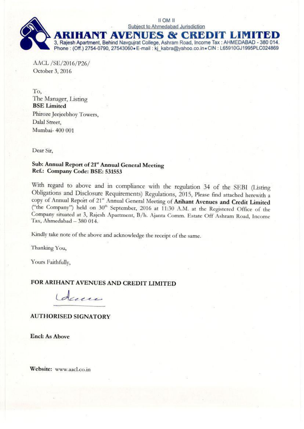

AACL /SE/2016/P26/ October 3, 2016

To. The Manager, Listing **BSE** Limited Phiroze Jeejeebhoy Towers, Dalal Street. Mumbai- 400 001

Dear Sir.

# Sub: Annual Report of 21st Annual General Meeting Ref.: Company Code: BSE: 531553

With regard to above and in compliance with the regulation 34 of the SEBI (Listing Obligations and Disclosure Requirements) Regulations, 2015, Please find attached herewith a copy of Annual Report of 21st Annual General Meeting of Arihant Avenues and Credit Limited ("the Company") held on 30<sup>th</sup> September, 2016 at 11:30 A.M. at the Registered Office of the Company situated at 3, Rajesh Apartment, B/h. Ajanta Comm. Estate Off Ashram Road, Income Tax, Ahmedabad - 380 014.

Kindly take note of the above and acknowledge the receipt of the same.

Thanking You,

Yours Faithfully,

# FOR ARIHANT AVENUES AND CREDIT LIMITED

duces

# **AUTHORISED SIGNATORY**

**Encl: As Above** 

Website: www.aacl.co.in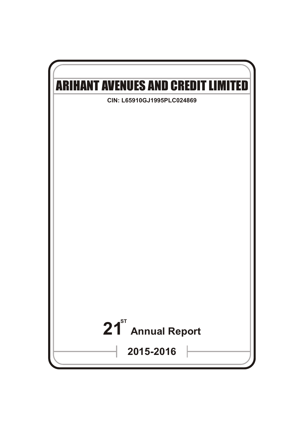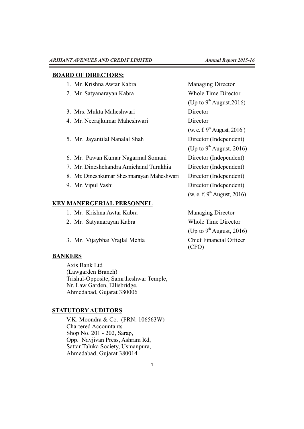### **BOARD OF DIRECTORS:**

| 1. Mr. Krishna Awtar Kabra |
|----------------------------|
|----------------------------|

- 
- 3. Mrs. Mukta Maheshwari Director
- 4. Mr. Neerajkumar Maheshwari Director
- 5. Mr. Jayantilal Nanalal Shah Director (Independent)
- 6. Mr. Pawan Kumar Nagarmal Somani Director (Independent)
- 7. Mr. Dineshchandra Amichand Turakhia Director (Independent)
- 8. Mr. Dineshkumar Sheshnarayan Maheshwari Director (Independent)
- 

# **KEY MANERGERIAL PERSONNEL**

- 1. Mr. Krishna Awtar Kabra Managing Director
- 2. Mr. Satyanarayan Kabra Whole Time Director
- 3. Mr. Vijaybhai Vrajlal Mehta Chief Financial Officer

# **BANKERS**

Axis Bank Ltd (Lawgarden Branch) Trishul-Opposite, Samrtheshwar Temple, Nr. Law Garden, Ellisbridge, Ahmedabad, Gujarat 380006

# **STATUTORY AUDITORS**

V.K. Moondra & Co. (FRN: 106563W) Chartered Accountants Shop No. 201 - 202, Sarap, Opp. Navjivan Press, Ashram Rd, Sattar Taluka Society, Usmanpura, Ahmedabad, Gujarat 380014

Managing Director 2. Mr. Satyanarayan Kabra Whole Time Director (Up to  $9^{\text{th}}$  August.2016) (w. e. f.  $9<sup>th</sup>$  August, 2016 ) (Up to  $9^{\text{th}}$  August, 2016) 9. Mr. Vipul Vashi Director (Independent) (w. e. f.  $9^{\text{th}}$  August, 2016)

> (Up to  $9<sup>th</sup>$  August, 2016) (CFO)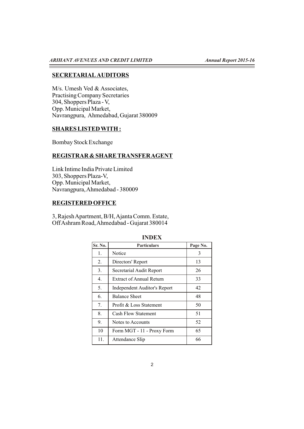# **SECRETARIALAUDITORS**

M/s. Umesh Ved & Associates, Practising Company Secretaries 304, Shoppers Plaza - V, Opp. Municipal Market, Navrangpura, Ahmedabad, Gujarat 380009

# **SHARES LISTED WITH :**

Bombay Stock Exchange

# **REGISTRAR & SHARE TRANSFER AGENT**

Link Intime India Private Limited 303, Shoppers Plaza-V, Opp. Municipal Market, Navrangpura, Ahmedabad - 380009

# **REGISTERED OFFICE**

3, Rajesh Apartment, B/H, Ajanta Comm. Estate, Off Ashram Road, Ahmedabad - Gujarat 380014

| Sr. No. | <b>Particulars</b>              | Page No. |
|---------|---------------------------------|----------|
| 1.      | Notice                          | 3        |
| 2.      | Directors' Report               | 13       |
| 3.      | Secretarial Audit Report        | 26       |
| 4.      | <b>Extract of Annual Return</b> | 33       |
| 5.      | Independent Auditor's Report    | 42       |
| 6.      | <b>Balance Sheet</b>            | 48       |
| 7.      | Profit & Loss Statement         | 50       |
| 8.      | <b>Cash Flow Statement</b>      | 51       |
| 9.      | Notes to Accounts               | 52       |
| 10      | Form MGT - 11 - Proxy Form      | 65       |
| 11.     | Attendance Slip                 | 66       |

#### **INDEX**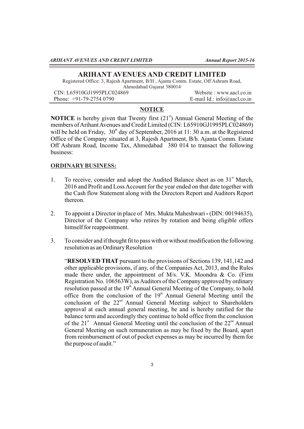#### **ARIHANT AVENUES AND CREDIT LIMITED**

Registered Office: 3, Rajesh Apartment, B/H , Ajanta Comm. Estate, Off Ashram Road, Ahmedabad Gujarat 380014

CIN: L65910GJ1995PLC024869 Website : www.aacl.co.in Phone: +91-79-2754 0790 E-mail Id.: info@aacl.co.in

# **NOTICE**

**NOTICE** is hereby given that Twenty first  $(21<sup>s</sup>)$  Annual General Meeting of the members of Arihant Avenues and Credit Limited (CIN: L65910GJ1995PLC024869) will be held on Friday,  $30<sup>th</sup>$  day of September, 2016 at 11: 30 a.m. at the Registered Office of the Company situated at 3, Rajesh Apartment, B/h. Ajanta Comm. Estate Off Ashram Road, Income Tax, Ahmedabad 380 014 to transact the following business:

#### **ORDINARYBUSINESS:**

- 1. To receive, consider and adopt the Audited Balance sheet as on  $31<sup>st</sup>$  March, 2016 and Profit and Loss Account for the year ended on that date together with the Cash flow Statement along with the Directors Report and Auditors Report thereon.
- 2. To appoint a Director in place of Mrs. Mukta Maheshwari (DIN: 00194635), Director of the Company who retires by rotation and being eligible offers himself for reappointment.
- 3. To consider and if thought fit to pass with or without modification the following resolution as an Ordinary Resolution

"**RESOLVED THAT** pursuant to the provisions of Sections 139, 141,142 and other applicable provisions, if any, of the Companies Act, 2013, and the Rules made there under, the appointment of M/s. V.K. Moondra & Co. (Firm Registration No. 106563W), as Auditors of the Company approved by ordinary resolution passed at the  $19<sup>th</sup>$  Annual General Meeting of the Company, to hold office from the conclusion of the  $19<sup>th</sup>$  Annual General Meeting until the conclusion of the  $22<sup>nd</sup>$  Annual General Meeting subject to Shareholders approval at each annual general meeting, be and is hereby ratified for the balance term and accordingly they continue to hold office from the conclusion of the 21 $^{\text{st}}$  Annual General Meeting until the conclusion of the 22 $^{\text{nd}}$  Annual General Meeting on such remuneration as may be fixed by the Board, apart from reimbursement of out of pocket expenses as may be incurred by them for the purpose of audit."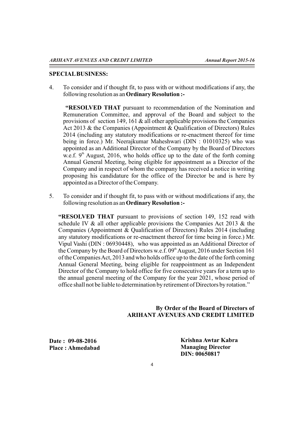#### **SPECIALBUSINESS:**

4. To consider and if thought fit, to pass with or without modifications if any, the following resolution as an **Ordinary Resolution :-**

**"RESOLVED THAT** pursuant to recommendation of the Nomination and Remuneration Committee, and approval of the Board and subject to the provisions of section 149, 161 & all other applicable provisions the Companies Act 2013 & the Companies (Appointment & Qualification of Directors) Rules 2014 (including any statutory modifications or re-enactment thereof for time being in force.) Mr. Neerajkumar Maheshwari (DIN : 01010325) who was appointed as an Additional Director of the Company by the Board of Directors w.e.f.  $9<sup>th</sup>$  August, 2016, who holds office up to the date of the forth coming Annual General Meeting, being eligible for appointment as a Director of the Company and in respect of whom the company has received a notice in writing proposing his candidature for the office of the Director be and is here by appointed as a Director of the Company.

5. To consider and if thought fit, to pass with or without modifications if any, the following resolution as an **Ordinary Resolution :-**

**"RESOLVED THAT** pursuant to provisions of section 149, 152 read with schedule IV & all other applicable provisions the Companies Act 2013 & the Companies (Appointment & Qualification of Directors) Rules 2014 (including any statutory modifications or re-enactment thereof for time being in force.) Mr. Vipul Vashi (DIN : 06930448), who was appointed as an Additional Director of the Company by the Board of Directors w.e.f.  $09<sup>th</sup>$  August, 2016 under Section 161 of the Companies Act, 2013 and who holds office up to the date of the forth coming Annual General Meeting, being eligible for reappointment as an Independent Director of the Company to hold office for five consecutive years for a term up to the annual general meeting of the Company for the year 2021, whose period of office shall not be liable to determination by retirement of Directors by rotation."

# **By Order of the Board of Directors of ARIHANT AVENUES AND CREDIT LIMITED**

**Date : 09-08-2016 Place : Ahmedabad** **Krishna Awtar Kabra Managing Director DIN: 00650817**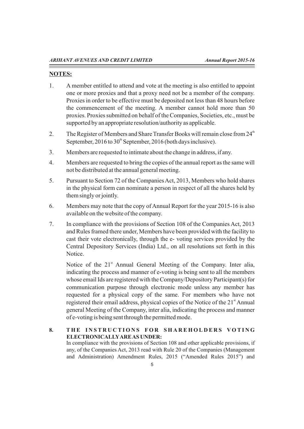### **NOTES:**

- 1. A member entitled to attend and vote at the meeting is also entitled to appoint one or more proxies and that a proxy need not be a member of the company. Proxies in order to be effective must be deposited not less than 48 hours before the commencement of the meeting. A member cannot hold more than 50 proxies. Proxies submitted on behalf of the Companies, Societies, etc., must be supported by an appropriate resolution/authority as applicable.
- 2. The Register of Members and Share Transfer Books will remain close from  $24<sup>th</sup>$ September,  $2016$  to  $30<sup>th</sup>$  September, 2016 (both days inclusive).
- 3. Members are requested to intimate about the change in address, if any.
- 4. Members are requested to bring the copies of the annual report as the same will not be distributed at the annual general meeting.
- 5. Pursuant to Section 72 of the Companies Act, 2013, Members who hold shares in the physical form can nominate a person in respect of all the shares held by them singly or jointly.
- 6. Members may note that the copy of Annual Report for the year 2015-16 is also available on the website of the company.
- 7. In compliance with the provisions of Section 108 of the Companies Act, 2013 and Rules framed there under, Members have been provided with the facility to cast their vote electronically, through the e- voting services provided by the Central Depository Services (India) Ltd., on all resolutions set forth in this Notice.

Notice of the  $21<sup>st</sup>$  Annual General Meeting of the Company. Inter alia, indicating the process and manner of e-voting is being sent to all the members whose email Ids are registered with the Company/Depository Participant(s) for communication purpose through electronic mode unless any member has requested for a physical copy of the same. For members who have not registered their email address, physical copies of the Notice of the 21<sup>st</sup> Annual general Meeting of the Company, inter alia, indicating the process and manner of e-voting is being sent through the permitted mode.

# 8. THE INSTRUCTIONS FOR SHAREHOLDERS VOTING **ELECTRONICALLYARE AS UNDER:**

In compliance with the provisions of Section 108 and other applicable provisions, if any, of the Companies Act, 2013 read with Rule 20 of the Companies (Management and Administration) Amendment Rules, 2015 ("Amended Rules 2015") and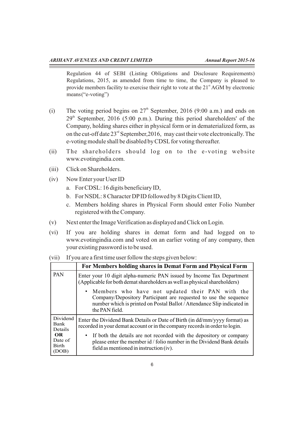Regulation 44 of SEBI (Listing Obligations and Disclosure Requirements) Regulations, 2015, as amended from time to time, the Company is pleased to provide members facility to exercise their right to vote at the  $21<sup>st</sup> AGM$  by electronic means("e-voting")

- (i) The voting period begins on  $27<sup>th</sup>$  September, 2016 (9:00 a.m.) and ends on  $29<sup>th</sup>$  September, 2016 (5:00 p.m.). During this period shareholders' of the Company, holding shares either in physical form or in dematerialized form, as on the cut-off date  $23<sup>rd</sup>$  September, 2016, may cast their vote electronically. The e-voting module shall be disabled by CDSLfor voting thereafter.
- (ii) The shareholders should log on to the e-voting website www.evotingindia.com.
- (iii) Click on Shareholders.
- (iv) Now Enter your User ID
	- a. For CDSL: 16 digits beneficiary ID,
	- b. For NSDL: 8 Character DPID followed by 8 Digits Client ID,
	- c. Members holding shares in Physical Form should enter Folio Number registered with the Company.
- (v) Next enter the Image Verification as displayed and Click on Login.
- (vi) If you are holding shares in demat form and had logged on to www.evotingindia.com and voted on an earlier voting of any company, then your existing password is to be used.

(vii) If you are a first time user follow the steps given below:

|                                         | For Members holding shares in Demat Form and Physical Form                                                                                                                                                         |  |  |  |
|-----------------------------------------|--------------------------------------------------------------------------------------------------------------------------------------------------------------------------------------------------------------------|--|--|--|
| PAN                                     | Enter your 10 digit alpha-numeric PAN issued by Income Tax Department<br>(Applicable for both demat shareholders as well as physical shareholders)                                                                 |  |  |  |
|                                         | • Members who have not updated their PAN with the<br>Company/Depository Participant are requested to use the sequence<br>number which is printed on Postal Ballot / Attendance Slip indicated in<br>the PAN field. |  |  |  |
| Dividend<br>Bank<br>Details             | Enter the Dividend Bank Details or Date of Birth (in dd/mm/yyyy format) as<br>recorded in your demat account or in the company records in order to login.                                                          |  |  |  |
| OR.<br>Date of<br><b>Birth</b><br>(DOB) | • If both the details are not recorded with the depository or company<br>please enter the member id / folio number in the Dividend Bank details<br>field as mentioned in instruction (iv).                         |  |  |  |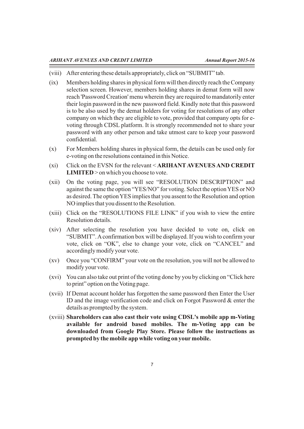- (viii) After entering these details appropriately, click on "SUBMIT" tab.
- (ix) Members holding shares in physical form will then directly reach the Company selection screen. However, members holding shares in demat form will now reach 'Password Creation' menu wherein they are required to mandatorily enter their login password in the new password field. Kindly note that this password is to be also used by the demat holders for voting for resolutions of any other company on which they are eligible to vote, provided that company opts for evoting through CDSL platform. It is strongly recommended not to share your password with any other person and take utmost care to keep your password confidential.
- (x) For Members holding shares in physical form, the details can be used only for e-voting on the resolutions contained in this Notice.
- (xi) Click on the EVSN for the relevant < **ARIHANTAVENUES AND CREDIT LIMITED** > on which you choose to vote.
- (xii) On the voting page, you will see "RESOLUTION DESCRIPTION" and against the same the option "YES/NO" for voting. Select the option YES or NO as desired. The option YES implies that you assent to the Resolution and option NO implies that you dissent to the Resolution.
- (xiii) Click on the "RESOLUTIONS FILE LINK" if you wish to view the entire Resolution details.
- (xiv) After selecting the resolution you have decided to vote on, click on "SUBMIT". Aconfirmation box will be displayed. If you wish to confirm your vote, click on "OK", else to change your vote, click on "CANCEL" and accordingly modify your vote.
- (xv) Once you "CONFIRM" your vote on the resolution, you will not be allowed to modify your vote.
- (xvi) You can also take out print of the voting done by you by clicking on "Click here to print" option on the Voting page.
- (xvii) If Demat account holder has forgotten the same password then Enter the User ID and the image verification code and click on Forgot Password & enter the details as prompted by the system.
- (xviii) **Shareholders can also cast their vote using CDSL's mobile app m-Voting available for android based mobiles. The m-Voting app can be downloaded from Google Play Store. Please follow the instructions as prompted by the mobile app while voting on yourmobile.**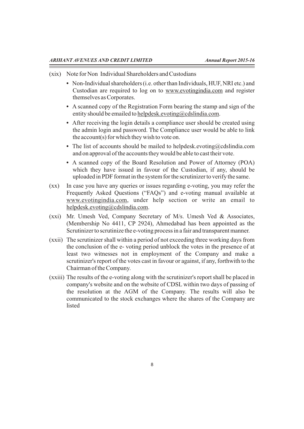- (xix) Note for Non Individual Shareholders and Custodians
	- **•** Non-Individual shareholders (i.e. other than Individuals, HUF, NRI etc.) and Custodian are required to log on to www.evotingindia.com and register themselves as Corporates.
	- **•** A scanned copy of the Registration Form bearing the stamp and sign of the entity should be emailed to helpdesk.evoting@cdslindia.com.
	- **•** After receiving the login details a compliance user should be created using the admin login and password. The Compliance user would be able to link the account(s) for which they wish to vote on.
	- The list of accounts should be mailed to helpdesk.evoting@cdslindia.com and on approval of the accounts they would be able to cast their vote.
	- **•** A scanned copy of the Board Resolution and Power of Attorney (POA) which they have issued in favour of the Custodian, if any, should be uploaded in PDF format in the system for the scrutinizer to verify the same.
- (xx) In case you have any queries or issues regarding e-voting, you may refer the Frequently Asked Questions ("FAQs") and e-voting manual available at www.evotingindia.com, under help section or write an email to helpdesk.evoting@cdslindia.com.
- (xxi) Mr. Umesh Ved, Company Secretary of M/s. Umesh Ved & Associates, (Membership No 4411, CP 2924), Ahmedabad has been appointed as the Scrutinizer to scrutinize the e-voting process in a fair and transparent manner.
- (xxii) The scrutinizer shall within a period of not exceeding three working days from the conclusion of the e- voting period unblock the votes in the presence of at least two witnesses not in employment of the Company and make a scrutinizer's report of the votes cast in favour or against, if any, forthwith to the Chairman of the Company.
- (xxiii) The results of the e-voting along with the scrutinizer's report shall be placed in company's website and on the website of CDSL within two days of passing of the resolution at the AGM of the Company. The results will also be communicated to the stock exchanges where the shares of the Company are listed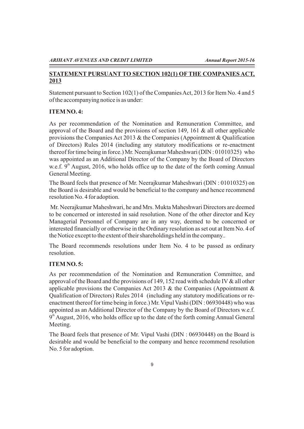# **STATEMENT PURSUANT TO SECTION 102(1) OFTHE COMPANIES ACT, 2013**

Statement pursuant to Section 102(1) of the Companies Act, 2013 for Item No. 4 and 5 of the accompanying notice is as under:

# **ITEM NO. 4:**

As per recommendation of the Nomination and Remuneration Committee, and approval of the Board and the provisions of section 149, 161 & all other applicable provisions the Companies Act 2013 & the Companies (Appointment & Qualification of Directors) Rules 2014 (including any statutory modifications or re-enactment thereof for time being in force.) Mr. Neerajkumar Maheshwari (DIN : 01010325) who was appointed as an Additional Director of the Company by the Board of Directors w.e.f.  $9<sup>th</sup>$  August, 2016, who holds office up to the date of the forth coming Annual General Meeting.

The Board feels that presence of Mr. Neerajkumar Maheshwari (DIN : 01010325) on the Board is desirable and would be beneficial to the company and hence recommend resolution No. 4 for adoption.

Mr. Neerajkumar Maheshwari, he and Mrs. Mukta Maheshwari Directors are deemed to be concerned or interested in said resolution. None of the other director and Key Managerial Personnel of Company are in any way, deemed to be concerned or interested financially or otherwise in the Ordinary resolution as set out at Item No. 4 of the Notice except to the extent of their shareholdings held in the company..

The Board recommends resolutions under Item No. 4 to be passed as ordinary resolution.

# **ITEM NO. 5:**

As per recommendation of the Nomination and Remuneration Committee, and approval of the Board and the provisions of 149, 152 read with schedule IV  $\&$  all other applicable provisions the Companies Act 2013  $\&$  the Companies (Appointment  $\&$ Qualification of Directors) Rules 2014 (including any statutory modifications or reenactment thereof for time being in force.) Mr. Vipul Vashi (DIN : 06930448) who was appointed as an Additional Director of the Company by the Board of Directors w.e.f.  $9<sup>th</sup>$  August, 2016, who holds office up to the date of the forth coming Annual General Meeting.

The Board feels that presence of Mr. Vipul Vashi (DIN : 06930448) on the Board is desirable and would be beneficial to the company and hence recommend resolution No. 5 for adoption.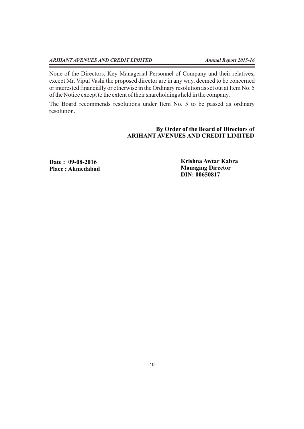$\equiv$ 

None of the Directors, Key Managerial Personnel of Company and their relatives, except Mr. Vipul Vashi the proposed director are in any way, deemed to be concerned or interested financially or otherwise in the Ordinary resolution as set out at Item No. 5 of the Notice except to the extent of their shareholdings held in the company.

The Board recommends resolutions under Item No. 5 to be passed as ordinary resolution.

# **By Order of the Board of Directors of ARIHANT AVENUES AND CREDIT LIMITED**

**Date : 09-08-2016 Place : Ahmedabad** **Krishna Awtar Kabra Managing Director DIN: 00650817**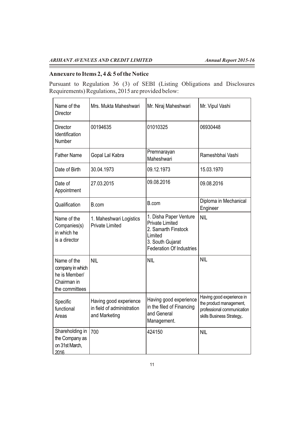# **Annexure to Items 2, 4 & 5 of the Notice**

Pursuant to Regulation 36 (3) of SEBI (Listing Obligations and Disclosures Requirements) Regulations, 2015 are provided below:

| Name of the<br><b>Director</b>                                                    | Mrs. Mukta Maheshwari                                                 | Mr. Niraj Maheshwari                                                                                                                      | Mr. Vipul Vashi                                                                                                  |
|-----------------------------------------------------------------------------------|-----------------------------------------------------------------------|-------------------------------------------------------------------------------------------------------------------------------------------|------------------------------------------------------------------------------------------------------------------|
| <b>Director</b><br>Identification<br>Number                                       | 00194635                                                              | 01010325                                                                                                                                  | 06930448                                                                                                         |
| <b>Father Name</b>                                                                | Gopal Lal Kabra                                                       | Premnarayan<br>Maheshwari                                                                                                                 | Rameshbhai Vashi                                                                                                 |
| Date of Birth                                                                     | 30.04.1973                                                            | 09.12.1973                                                                                                                                | 15.03.1970                                                                                                       |
| Date of<br>Appointment                                                            | 27.03.2015                                                            | 09.08.2016                                                                                                                                | 09.08.2016                                                                                                       |
| Qualification                                                                     | B.com                                                                 | B.com                                                                                                                                     | Diploma in Mechanical<br>Engineer                                                                                |
| Name of the<br>Companies(s)<br>in which he<br>is a director                       | 1. Maheshwari Logistics<br><b>Private Limited</b>                     | 1. Disha Paper Venture<br><b>Private Limited</b><br>2. Samarth Finstock<br>Limited<br>3. South Gujarat<br><b>Federation Of Industries</b> | <b>NIL</b>                                                                                                       |
| Name of the<br>company in which<br>he is Member/<br>Chairman in<br>the committees | <b>NIL</b>                                                            | <b>NIL</b>                                                                                                                                | <b>NIL</b>                                                                                                       |
| Specific<br>functional<br>Areas                                                   | Having good experience<br>in field of administration<br>and Marketing | Having good experience<br>in the filed of Financing<br>and General<br>Management.                                                         | Having good experience in<br>the product management,<br>professional communication<br>skills Business Strategy,. |
| Shareholding in<br>the Company as<br>on 31st March,<br>2016                       | 700                                                                   | 424150                                                                                                                                    | <b>NIL</b>                                                                                                       |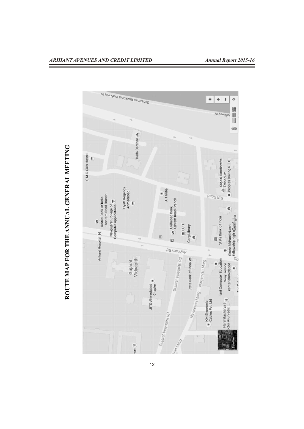

# **ROUTEMAPFORTHEANNUALGENERA LMEETIN G**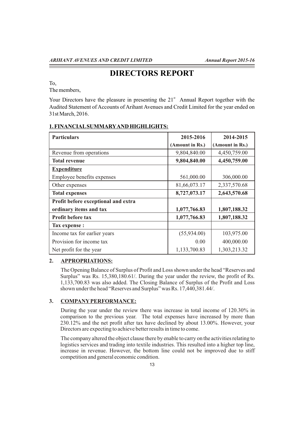# **DIRECTORS REPORT**

To,

The members,

Your Directors have the pleasure in presenting the  $21<sup>st</sup>$  Annual Report together with the Audited Statement of Accounts of Arihant Avenues and Credit Limited for the year ended on 31st March, 2016.

| <b>Particulars</b>                  | 2015-2016       | 2014-2015       |
|-------------------------------------|-----------------|-----------------|
|                                     | (Amount in Rs.) | (Amount in Rs.) |
| Revenue from operations             | 9,804,840.00    | 4,450,759.00    |
| <b>Total revenue</b>                | 9,804,840.00    | 4,450,759.00    |
| <b>Expenditure</b>                  |                 |                 |
| Employee benefits expenses          | 561,000.00      | 306,000.00      |
| Other expenses                      | 81,66,073.17    | 2,337,570.68    |
| <b>Total expenses</b>               | 8,727,073.17    | 2,643,570.68    |
| Profit before exceptional and extra |                 |                 |
| ordinary items and tax              | 1,077,766.83    | 1,807,188.32    |
| <b>Profit before tax</b>            | 1,077,766.83    | 1,807,188.32    |
| Tax expense :                       |                 |                 |
| Income tax for earlier years        | (55,934.00)     | 103,975.00      |
| Provision for income tax            | 0.00            | 400,000.00      |
| Net profit for the year             | 1,133,700.83    | 1,303,213.32    |

# **1. FINANCIALSUMMARYAND HIGHLIGHTS:**

# **2. APPROPRIATIONS:**

The Opening Balance of Surplus of Profit and Loss shown under the head "Reserves and Surplus" was Rs. 15,380,180.61/. During the year under the review, the profit of Rs. 1,133,700.83 was also added. The Closing Balance of Surplus of the Profit and Loss shown under the head "Reserves and Surplus" was Rs. 17,440,381.44/.

# **3. COMPANYPERFORMANCE:**

During the year under the review there was increase in total income of 120.30% in comparison to the previous year. The total expenses have increased by more than 230.12% and the net profit after tax have declined by about 13.00%. However, your Directors are expecting to achieve better results in time to come.

The company altered the object clause there by enable to carry on the activities relating to logistics services and trading into textile industries. This resulted into a higher top line, increase in revenue. However, the bottom line could not be improved due to stiff competition and general economic condition.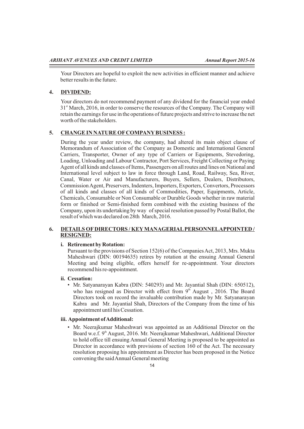Your Directors are hopeful to exploit the new activities in efficient manner and achieve better results in the future.

### **4. DIVIDEND:**

Your directors do not recommend payment of any dividend for the financial year ended 31<sup>st</sup> March, 2016, in order to conserve the resources of the Company. The Company will retain the earnings for use in the operations of future projects and strive to increase the net worth of the stakeholders.

# **5. CHANGE IN NATURE OFCOMPANYBUSINESS :**

During the year under review, the company, had altered its main object clause of Memorandum of Association of the Company as Domestic and International General Carriers, Transporter, Owner of any type of Carriers or Equipments, Stevedoring, Loading, Unloading and Labour Contractor, Port Services, Freight Collecting or Paying Agent of all kinds and classes of Items, Passengers on all routes and lines on National and International level subject to law in force through Land, Road, Railway, Sea, River, Canal, Water or Air and Manufacturers, Buyers, Sellers, Dealers, Distributors, Commission Agent, Preservers, Indenters, Importers, Exporters, Convertors, Processors of all kinds and classes of all kinds of Commodities, Paper, Equipments, Article, Chemicals, Consumable or Non Consumable or Durable Goods whether in raw material form or finished or Semi-finished form combined with the existing business of the Company, upon its undertaking by way of special resolution passed by Postal Ballot, the result of which was declared on 28th March, 2016.

#### **6. DETAILS OFDIRECTORS / KEYMANAGERIALPERSONNELAPPOINTED / RESIGNED:**

#### **i. Retirement by Rotation:**

Pursuant to the provisions of Section 152(6) of the Companies Act, 2013, Mrs. Mukta Maheshwari (DIN: 00194635) retires by rotation at the ensuing Annual General Meeting and being eligible, offers herself for re-appointment. Your directors recommend his re-appointment.

#### **ii. Cessation:**

• Mr. Satyanarayan Kabra (DIN: 540293) and Mr. Jayantial Shah (DIN: 650512), who has resigned as Director with effect from  $9<sup>th</sup>$  August, 2016. The Board Directors took on record the invaluable contribution made by Mr. Satyanarayan Kabra and Mr. Jayantial Shah, Directors of the Company from the time of his appointment until his Cessation.

#### **iii. Appointment of Additional:**

• Mr. Neerajkumar Maheshwari was appointed as an Additional Director on the Board w.e.f. 9<sup>th</sup> August, 2016. Mr. Neerajkumar Maheshwari, Additional Director to hold office till ensuing Annual General Meeting is proposed to be appointed as Director in accordance with provisions of section 160 of the Act. The necessary resolution proposing his appointment as Director has been proposed in the Notice convening the said Annual General meeting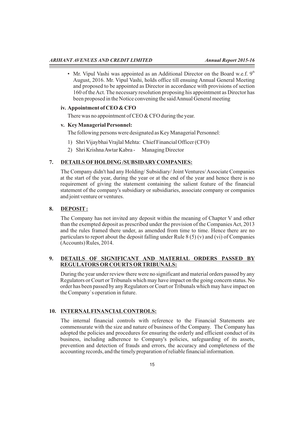• Mr. Vipul Vashi was appointed as an Additional Director on the Board w.e.f.  $9<sup>th</sup>$ August, 2016. Mr. Vipul Vashi, holds office till ensuing Annual General Meeting and proposed to be appointed as Director in accordance with provisions of section 160 of the Act. The necessary resolution proposing his appointment as Director has been proposed in the Notice convening the said Annual General meeting

#### **iv. Appointment of CEO & CFO**

There was no appointment of CEO & CFO during the year.

# **v. Key Managerial Personnel:**

The following persons were designated as Key Managerial Personnel:

- 1) Shri Vijaybhai Vrajlal Mehta: Chief Financial Officer (CFO)
- 2) Shri Krishna Awtar Kabra Managing Director

# **7. DETAILS OFHOLDING /SUBSIDARYCOMPANIES:**

The Company didn't had any Holding/ Subsidiary/ Joint Ventures/ Associate Companies at the start of the year, during the year or at the end of the year and hence there is no requirement of giving the statement containing the salient feature of the financial statement of the company's subsidiary or subsidiaries, associate company or companies and joint venture or ventures.

# **8. DEPOSIT:**

The Company has not invited any deposit within the meaning of Chapter V and other than the exempted deposit as prescribed under the provision of the Companies Act, 2013 and the rules framed there under, as amended from time to time. Hence there are no particulars to report about the deposit falling under Rule 8 (5) (v) and (vi) of Companies (Accounts) Rules, 2014.

### **9. DETAILS OF SIGNIFICANT AND MATERIAL ORDERS PASSED BY REGULATORS OR COURTS OR TRIBUNALS:**

During the year under review there were no significant and material orders passed by any Regulators or Court or Tribunals which may have impact on the going concern status. No order has been passed by any Regulators or Court or Tribunals which may have impact on the Company`s operation in future.

# **10. INTERNALFINANCIALCONTROLS:**

The internal financial controls with reference to the Financial Statements are commensurate with the size and nature of business of the Company. The Company has adopted the policies and procedures for ensuring the orderly and efficient conduct of its business, including adherence to Company's policies, safeguarding of its assets, prevention and detection of frauds and errors, the accuracy and completeness of the accounting records, and the timely preparation of reliable financial information.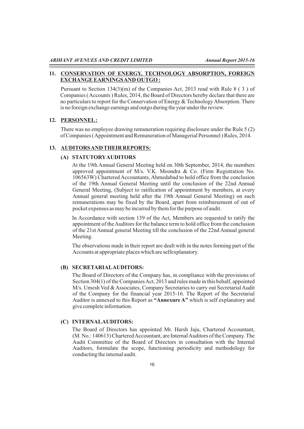#### **11. CONSERVATION OF ENERGY, TECHNOLOGY ABSORPTION, FOREIGN EXCHANGE EARNINGS AND OUTGO :**

Pursuant to Section 134(3)(m) of the Companies Act, 2013 read with Rule 8 ( 3 ) of Companies ( Accounts ) Rules, 2014, the Board of Directors hereby declare that there are no particulars to report for the Conservation of Energy & Technology Absorption. There is no foreign exchange earnings and outgo during the year under the review.

#### **12. PERSONNEL:**

There was no employee drawing remuneration requiring disclosure under the Rule 5 (2) of Companies ( Appointment and Remuneration of Managerial Personnel ) Rules, 2014.

#### **13. AUDITORS AND THEIR REPORTS:**

#### **(A) STATUTORYAUDITORS**

At the 19th Annual General Meeting held on 30th September, 2014, the members approved appointment of M/s. V.K. Moondra & Co. (Firm Registration No. 106563W) Chartered Accountants, Ahmedabad to hold office from the conclusion of the 19th Annual General Meeting until the conclusion of the 22nd Annual General Meeting, (Subject to ratification of appointment by members, at every Annual general meeting held after the 19th Annual General Meeting) on such remunerations may be fixed by the Board, apart from reimbursement of out of pocket expenses as may be incurred by them for the purpose of audit.

In Accordance with section 139 of the Act, Members are requested to ratify the appointment of the Auditors for the balance term to hold office from the conclusion of the 21st Annual general Meeting till the conclusion of the 22nd Annual general Meeting.

The observations made in their report are dealt with in the notes forming part of the Accounts at appropriate places which are selfexplanatory.

#### **(B) SECRETARIALAUDITORS:**

The Board of Directors of the Company has, in compliance with the provisions of Section 304(1) of the Companies Act, 2013 and rules made in this behalf, appointed M/s. Umesh Ved & Associates, Company Secretaries to carry out Secretarial Audit of the Company for the financial year 2015-16. The Report of the Secretarial Auditor is annexed to this Report as **"Annexure A"** which is self explanatory and give complete information.

#### **(C) INTERNALAUDITORS:**

The Board of Directors has appointed Mr. Harsh Jaju, Chartered Accountant, (M. No.: 140613) Chartered Accountant, are Internal Auditors of the Company. The Audit Committee of the Board of Directors in consultation with the Internal Auditors, formulate the scope, functioning periodicity and methodology for conducting the internal audit.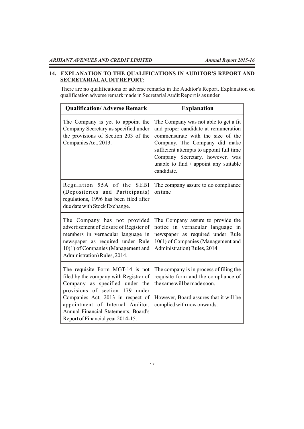Ξ

# **14. EXPLANATION TO THE QUALIFICATIONS IN AUDITOR'S REPORT AND SECRETARIALAUDITREPORT:**

There are no qualifications or adverse remarks in the Auditor's Report. Explanation on qualification adverse remark made in Secretarial Audit Report is as under.

| <b>Qualification/Adverse Remark</b>                                                                                                                                                                                                                                                                   | <b>Explanation</b>                                                                                                                                                                                                                                                                        |
|-------------------------------------------------------------------------------------------------------------------------------------------------------------------------------------------------------------------------------------------------------------------------------------------------------|-------------------------------------------------------------------------------------------------------------------------------------------------------------------------------------------------------------------------------------------------------------------------------------------|
| The Company is yet to appoint the<br>Company Secretary as specified under<br>the provisions of Section 203 of the<br>Companies Act, 2013.                                                                                                                                                             | The Company was not able to get a fit<br>and proper candidate at remuneration<br>commensurate with the size of the<br>Company. The Company did make<br>sufficient attempts to appoint full time<br>Company Secretary, however, was<br>unable to find / appoint any suitable<br>candidate. |
| Regulation 55A of the SEBI<br>(Depositories and Participants)<br>regulations, 1996 has been filed after<br>due date with Stock Exchange.                                                                                                                                                              | The company assure to do compliance<br>on time                                                                                                                                                                                                                                            |
| The Company has not provided<br>advertisement of closure of Register of<br>members in vernacular language in<br>newspaper as required under Rule<br>10(1) of Companies (Management and<br>Administration) Rules, 2014.                                                                                | The Company assure to provide the<br>notice in vernacular language in<br>newspaper as required under Rule<br>10(1) of Companies (Management and<br>Administration) Rules, 2014.                                                                                                           |
| The requisite Form MGT-14 is not<br>filed by the company with Registrar of<br>Company as specified under the<br>provisions of section 179 under<br>Companies Act, 2013 in respect of<br>appointment of Internal Auditor,<br>Annual Financial Statements, Board's<br>Report of Financial year 2014-15. | The company is in process of filing the<br>requisite form and the compliance of<br>the same will be made soon.<br>However, Board assures that it will be<br>complied with now onwards.                                                                                                    |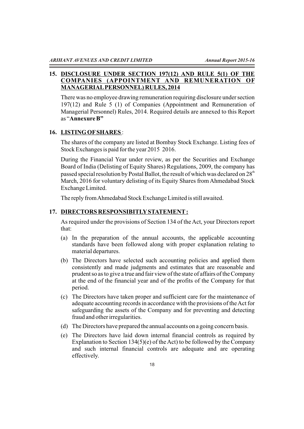# **15. DISCLOSURE UNDER SECTION 197(12) AND RULE 5(1) OF THE COMPANIES (APPOINTMENT AND REMUNERATION OF MANAGERIALPERSONNEL) RULES, 2014**

There was no employee drawing remuneration requiring disclosure under section 197(12) and Rule 5 (1) of Companies (Appointment and Remuneration of Managerial Personnel) Rules, 2014. Required details are annexed to this Report as "**Annexure B"**

# **16. LISTING OFSHARES** :

The shares of the company are listed at Bombay Stock Exchange. Listing fees of Stock Exchanges is paid for the year 2015 2016.

During the Financial Year under review, as per the Securities and Exchange Board of India (Delisting of Equity Shares) Regulations, 2009, the company has passed special resolution by Postal Ballot, the result of which was declared on  $28<sup>th</sup>$ March, 2016 for voluntary delisting of its Equity Shares from Ahmedabad Stock Exchange Limited.

The reply from Ahmedabad Stock Exchange Limited is still awaited.

### **17. DIRECTORS RESPONSIBITLYSTATEMENT:**

As required under the provisions of Section 134 of the Act, your Directors report that:

- (a) In the preparation of the annual accounts, the applicable accounting standards have been followed along with proper explanation relating to material departures.
- (b) The Directors have selected such accounting policies and applied them consistently and made judgments and estimates that are reasonable and prudent so as to give a true and fair view of the state of affairs of the Company at the end of the financial year and of the profits of the Company for that period.
- (c) The Directors have taken proper and sufficient care for the maintenance of adequate accounting records in accordance with the provisions of the Act for safeguarding the assets of the Company and for preventing and detecting fraud and other irregularities.
- (d) The Directors have prepared the annual accounts on a going concern basis.
- (e) The Directors have laid down internal financial controls as required by Explanation to Section 134(5)(e) of the Act) to be followed by the Company and such internal financial controls are adequate and are operating effectively.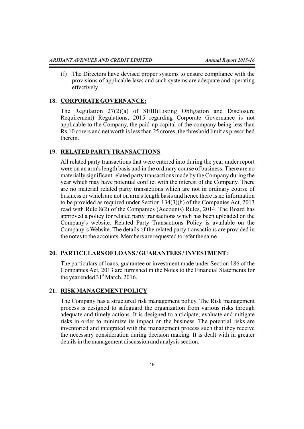(f) The Directors have devised proper systems to ensure compliance with the provisions of applicable laws and such systems are adequate and operating effectively.

# **18. CORPORATE GOVERNANCE:**

The Regulation 27(2)(a) of SEBI(Listing Obligation and Disclosure Requirement) Regulations, 2015 regarding Corporate Governance is not applicable to the Company, the paid-up capital of the company being less than Rs.10 corers and net worth is less than 25 crores, the threshold limit as prescribed therein.

# **19. RELATED PARTYTRANSACTIONS**

All related party transactions that were entered into during the year under report were on an arm's length basis and in the ordinary course of business. There are no materially significant related party transactions made by the Company during the year which may have potential conflict with the interest of the Company. There are no material related party transactions which are not in ordinary course of business or which are not on arm's length basis and hence there is no information to be provided as required under Section 134(3)(h) of the Companies Act, 2013 read with Rule 8(2) of the Companies (Accounts) Rules, 2014. The Board has approved a policy for related party transactions which has been uploaded on the Company's website. Related Party Transactions Policy is available on the Company`s Website. The details of the related party transactions are provided in the notes to the accounts. Members are requested to refer the same.

# **20. PARTICULARS OFLOANS / GUARANTEES / INVESTMENT:**

The particulars of loans, guarantee or investment made under Section 186 of the Companies Act, 2013 are furnished in the Notes to the Financial Statements for the year ended  $31<sup>st</sup>$  March, 2016.

# **21. RISK MANAGEMENTPOLICY**

The Company has a structured risk management policy. The Risk management process is designed to safeguard the organization from various risks through adequate and timely actions. It is designed to anticipate, evaluate and mitigate risks in order to minimize its impact on the business. The potential risks are inventoried and integrated with the management process such that they receive the necessary consideration during decision making. It is dealt with in greater details in the management discussion and analysis section.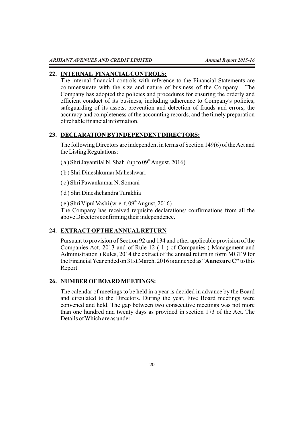### **22. INTERNAL FINANCIALCONTROLS:**

The internal financial controls with reference to the Financial Statements are commensurate with the size and nature of business of the Company. The Company has adopted the policies and procedures for ensuring the orderly and efficient conduct of its business, including adherence to Company's policies, safeguarding of its assets, prevention and detection of frauds and errors, the accuracy and completeness of the accounting records, and the timely preparation of reliable financial information.

### **23. DECLARATION BYINDEPENDENTDIRECTORS:**

The following Directors are independent in terms of Section 149(6) of the Act and the Listing Regulations:

- (a) Shri Jayantilal N. Shah (up to  $09<sup>th</sup>$  August, 2016)
- ( b ) Shri Dineshkumar Maheshwari
- ( c ) Shri Pawankumar N. Somani

( d ) Shri Dineshchandra Turakhia

 $(e)$  Shri Vipul Vashi (w. e. f. 09<sup>th</sup> August, 2016) The Company has received requisite declarations/ confirmations from all the above Directors confirming their independence.

# **24. EXTRACTOFTHE ANNUALRETURN**

Pursuant to provision of Section 92 and 134 and other applicable provision of the Companies Act, 2013 and of Rule 12 ( 1 ) of Companies ( Management and Administration ) Rules, 2014 the extract of the annual return in form MGT 9 for the Financial Year ended on 31st March, 2016 is annexed as "**Annexure C"** to this Report.

# **26. NUMBER OFBOARD MEETINGS:**

The calendar of meetings to be held in a year is decided in advance by the Board and circulated to the Directors. During the year, Five Board meetings were convened and held. The gap between two consecutive meetings was not more than one hundred and twenty days as provided in section 173 of the Act. The Details of Which are as under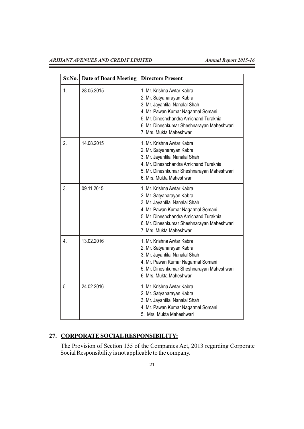# *ARIHANT AVENUES AND CREDIT LIMITED Annual Report 2015-16*

Ξ

| Sr.No. | <b>Date of Board Meeting</b> | <b>Directors Present</b>                                                                                                                                                                                                                            |
|--------|------------------------------|-----------------------------------------------------------------------------------------------------------------------------------------------------------------------------------------------------------------------------------------------------|
| 1.     | 28.05.2015                   | 1. Mr. Krishna Awtar Kabra<br>2. Mr. Satyanarayan Kabra<br>3. Mr. Jayantilal Nanalal Shah<br>4. Mr. Pawan Kumar Nagarmal Somani<br>5. Mr. Dineshchandra Amichand Turakhia<br>6. Mr. Dineshkumar Sheshnarayan Maheshwari<br>7. Mrs. Mukta Maheshwari |
| 2.     | 14.08.2015                   | 1. Mr. Krishna Awtar Kabra<br>2. Mr. Satyanarayan Kabra<br>3. Mr. Jayantilal Nanalal Shah<br>4. Mr. Dineshchandra Amichand Turakhia<br>5. Mr. Dineshkumar Sheshnarayan Maheshwari<br>6. Mrs. Mukta Maheshwari                                       |
| 3.     | 09.11.2015                   | 1. Mr. Krishna Awtar Kabra<br>2. Mr. Satyanarayan Kabra<br>3. Mr. Jayantilal Nanalal Shah<br>4. Mr. Pawan Kumar Nagarmal Somani<br>5. Mr. Dineshchandra Amichand Turakhia<br>6. Mr. Dineshkumar Sheshnarayan Maheshwari<br>7. Mrs. Mukta Maheshwari |
| 4      | 13.02.2016                   | 1. Mr. Krishna Awtar Kabra<br>2. Mr. Satyanarayan Kabra<br>3. Mr. Jayantilal Nanalal Shah<br>4. Mr. Pawan Kumar Nagarmal Somani<br>5. Mr. Dineshkumar Sheshnarayan Maheshwari<br>6. Mrs. Mukta Maheshwari                                           |
| 5.     | 24.02.2016                   | 1. Mr. Krishna Awtar Kabra<br>2. Mr. Satyanarayan Kabra<br>3. Mr. Jayantilal Nanalal Shah<br>4. Mr. Pawan Kumar Nagarmal Somani<br>5. Mrs. Mukta Maheshwari                                                                                         |

# **27. CORPORATE SOCIALRESPONSIBILITY:**

The Provision of Section 135 of the Companies Act, 2013 regarding Corporate Social Responsibility is not applicable to the company.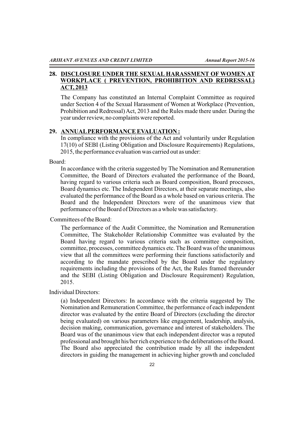# **28. DISCLOSURE UNDER THE SEXUAL HARASSMENT OF WOMEN AT WORKPLACE ( PREVENTION, PROHIBITION AND REDRESSAL) ACT, 2013**

The Company has constituted an Internal Complaint Committee as required under Section 4 of the Sexual Harassment of Women at Workplace (Prevention, Prohibition and Redressal) Act, 2013 and the Rules made there under. During the year under review, no complaints were reported.

# **29. ANNUALPERFORMANCE EVALUATION :**

In compliance with the provisions of the Act and voluntarily under Regulation 17(10) of SEBI (Listing Obligation and Disclosure Requirements) Regulations, 2015, the performance evaluation was carried out as under:

Board:

In accordance with the criteria suggested by The Nomination and Remuneration Committee, the Board of Directors evaluated the performance of the Board, having regard to various criteria such as Board composition, Board processes, Board dynamics etc. The Independent Directors, at their separate meetings, also evaluated the performance of the Board as a whole based on various criteria. The Board and the Independent Directors were of the unanimous view that performance of the Board of Directors as a whole was satisfactory.

Committees of the Board:

The performance of the Audit Committee, the Nomination and Remuneration Committee, The Stakeholder Relationship Committee was evaluated by the Board having regard to various criteria such as committee composition, committee, processes, committee dynamics etc. The Board was of the unanimous view that all the committees were performing their functions satisfactorily and according to the mandate prescribed by the Board under the regulatory requirements including the provisions of the Act, the Rules framed thereunder and the SEBI (Listing Obligation and Disclosure Requirement) Regulation, 2015.

Individual Directors:

(a) Independent Directors: In accordance with the criteria suggested by The Nomination and Remuneration Committee, the performance of each independent director was evaluated by the entire Board of Directors (excluding the director being evaluated) on various parameters like engagement, leadership, analysis, decision making, communication, governance and interest of stakeholders. The Board was of the unanimous view that each independent director was a reputed professional and brought his/her rich experience to the deliberations of the Board. The Board also appreciated the contribution made by all the independent directors in guiding the management in achieving higher growth and concluded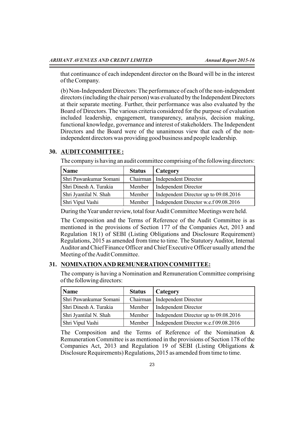that continuance of each independent director on the Board will be in the interest of the Company.

(b) Non-Independent Directors: The performance of each of the non-independent directors (including the chair person) was evaluated by the Independent Directors at their separate meeting. Further, their performance was also evaluated by the Board of Directors. The various criteria considered for the purpose of evaluation included leadership, engagement, transparency, analysis, decision making, functional knowledge, governance and interest of stakeholders. The Independent Directors and the Board were of the unanimous view that each of the nonindependent directors was providing good business and people leadership.

#### **30. AUDITCOMMITTEE :**

The company is having an audit committee comprising of the following directors:

| Name                   | <b>Status</b> | Category                              |
|------------------------|---------------|---------------------------------------|
| Shri Pawankumar Somani |               | Chairman   Independent Director       |
| Shri Dinesh A. Turakia | Member        | <b>Independent Director</b>           |
| Shri Jyantilal N. Shah | Member        | Independent Director up to 09.08.2016 |
| Shri Vipul Vashi       | Member        | Independent Director w.e.f 09.08.2016 |

During the Year under review, total four Audit Committee Meetings were held.

The Composition and the Terms of Reference of the Audit Committee is as mentioned in the provisions of Section 177 of the Companies Act, 2013 and Regulation 18(1) of SEBI (Listing Obligations and Disclosure Requirement) Regulations, 2015 as amended from time to time. The Statutory Auditor, Internal Auditor and Chief Finance Officer and Chief Executive Officer usually attend the Meeting of the Audit Committee.

# **31. NOMINATION AND REMUNERATION COMMITTEE:**

The company is having a Nomination and Remuneration Committee comprising of the following directors:

| <b>Name</b>            | <b>Status</b> | <b>Category</b>                       |
|------------------------|---------------|---------------------------------------|
| Shri Pawankumar Somani |               | Chairman   Independent Director       |
| Shri Dinesh A. Turakia | Member        | <b>Independent Director</b>           |
| Shri Jyantilal N. Shah | Member        | Independent Director up to 09.08.2016 |
| Shri Vipul Vashi       | Member        | Independent Director w.e.f 09.08.2016 |

The Composition and the Terms of Reference of the Nomination & Remuneration Committee is as mentioned in the provisions of Section 178 of the Companies Act, 2013 and Regulation 19 of SEBI (Listing Obligations & Disclosure Requirements) Regulations, 2015 as amended from time to time.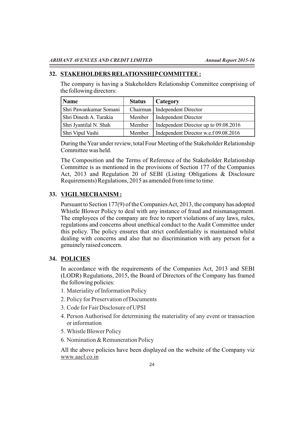### **32. STAKEHOLDERS RELATIONSHIPCOMMITTEE :**

The company is having a Stakeholders Relationship Committee comprising of the following directors:

| <b>Name</b>            | <b>Status</b> | Category                              |
|------------------------|---------------|---------------------------------------|
| Shri Pawankumar Somani |               | Chairman   Independent Director       |
| Shri Dinesh A. Turakia | Member        | <b>Independent Director</b>           |
| Shri Jyantilal N. Shah | Member        | Independent Director up to 09.08.2016 |
| Shri Vipul Vashi       | Member        | Independent Director w.e.f 09.08.2016 |

During the Year under review, total Four Meeting of the Stakeholder Relationship Committee was held.

The Composition and the Terms of Reference of the Stakeholder Relationship Committee is as mentioned in the provisions of Section 177 of the Companies Act, 2013 and Regulation 20 of SEBI (Listing Obligations & Disclosure Requirements) Regulations, 2015 as amended from time to time.

# **33. VIGILMECHANISM :**

Pursuant to Section 177(9) of the Companies Act, 2013, the company has adopted Whistle Blower Policy to deal with any instance of fraud and mismanagement. The employees of the company are free to report violations of any laws, rules, regulations and concerns about unethical conduct to the Audit Committee under this policy. The policy ensures that strict confidentiality is maintained whilst dealing with concerns and also that no discrimination with any person for a genuinely raised concern.

# **34. POLICIES**

In accordance with the requirements of the Companies Act, 2013 and SEBI (LODR) Regulations, 2015, the Board of Directors of the Company has framed the following policies:

- 1. Materiality of Information Policy
- 2. Policy for Preservation of Documents
- 3. Code for Fair Disclosure of UPSI
- 4. Person Authorised for determining the materiality of any event or transaction or information
- 5. Whistle Blower Policy
- 6. Nomination & Remuneration Policy

All the above policies have been displayed on the website of the Company viz www.aacl.co.in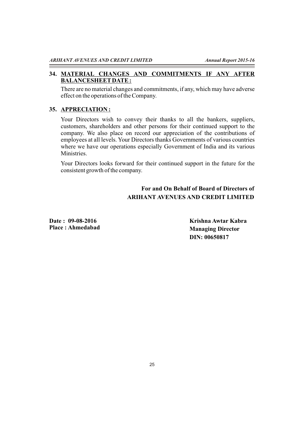# **34. MATERIAL CHANGES AND COMMITMENTS IF ANY AFTER BALANCESHEETDATE :**

There are no material changes and commitments, if any, which may have adverse effect on the operations of the Company.

# **35. APPRECIATION :**

Your Directors wish to convey their thanks to all the bankers, suppliers, customers, shareholders and other persons for their continued support to the company. We also place on record our appreciation of the contributions of employees at all levels. Your Directors thanks Governments of various countries where we have our operations especially Government of India and its various Ministries.

Your Directors looks forward for their continued support in the future for the consistent growth of the company.

# **For and On Behalf of Board of Directors of ARIHANT AVENUES AND CREDIT LIMITED**

**Date : 09-08-2016 Place : Ahmedabad** **Krishna Awtar Kabra Managing Director DIN: 00650817**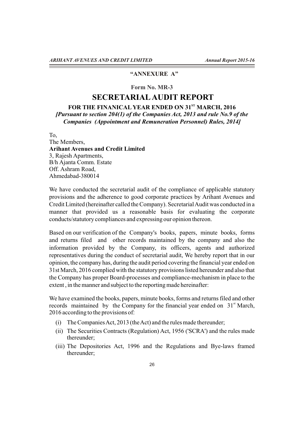# **"ANNEXURE A"**

### **Form No. MR-3**

# **SECRETARIALAUDIT REPORT**

# FOR THE FINANICAL YEAR ENDED ON 31<sup>ST</sup> MARCH, 2016 *[Pursuant to section 204(1) of the Companies Act, 2013 and rule No.9 of the Companies (Appointment and Remuneration Personnel) Rules, 2014]*

To,

The Members, **Arihant Avenues and Credit Limited** 3, Rajesh Apartments, B/h Ajanta Comm. Estate Off. Ashram Road, Ahmedabad-380014

We have conducted the secretarial audit of the compliance of applicable statutory provisions and the adherence to good corporate practices by Arihant Avenues and Credit Limited (hereinafter called the Company). Secretarial Audit was conducted in a manner that provided us a reasonable basis for evaluating the corporate conducts/statutory compliances and expressing our opinion thereon.

Based on our verification of the Company's books, papers, minute books, forms and returns filed and other records maintained by the company and also the information provided by the Company, its officers, agents and authorized representatives during the conduct of secretarial audit, We hereby report that in our opinion, the company has, during the audit period covering the financial year ended on 31st March, 2016 complied with the statutory provisions listed hereunder and also that the Company has proper Board-processes and compliance-mechanism in place to the extent , in the manner and subject to the reporting made hereinafter:

We have examined the books, papers, minute books, forms and returns filed and other records maintained by the Company for the financial year ended on  $31<sup>st</sup>$  March, 2016 according to the provisions of:

- (i) The Companies Act, 2013 (the Act) and the rules made thereunder;
- (ii) The Securities Contracts (Regulation) Act, 1956 ('SCRA') and the rules made thereunder;
- (iii) The Depositories Act, 1996 and the Regulations and Bye-laws framed thereunder;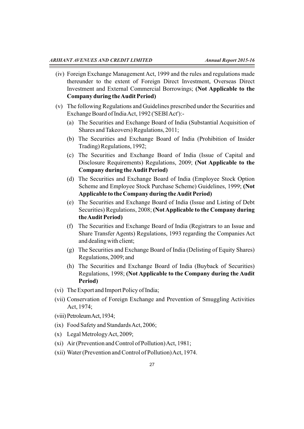- (iv) Foreign Exchange Management Act, 1999 and the rules and regulations made thereunder to the extent of Foreign Direct Investment, Overseas Direct Investment and External Commercial Borrowings; **(Not Applicable to the Company during the Audit Period)**
- (v) The following Regulations and Guidelines prescribed under the Securities and Exchange Board of India Act, 1992 ('SEBI Act'):-
	- (a) The Securities and Exchange Board of India (Substantial Acquisition of Shares and Takeovers) Regulations, 2011;
	- (b) The Securities and Exchange Board of India (Prohibition of Insider Trading) Regulations, 1992;
	- (c) The Securities and Exchange Board of India (Issue of Capital and Disclosure Requirements) Regulations, 2009; **(Not Applicable to the Company during the Audit Period)**
	- (d) The Securities and Exchange Board of India (Employee Stock Option Scheme and Employee Stock Purchase Scheme) Guidelines, 1999; **(Not Applicable to the Company during the Audit Period)**
	- (e) The Securities and Exchange Board of India (Issue and Listing of Debt Securities) Regulations, 2008; **(Not Applicable to the Company during the Audit Period)**
	- (f) The Securities and Exchange Board of India (Registrars to an Issue and Share Transfer Agents) Regulations, 1993 regarding the Companies Act and dealing with client;
	- (g) The Securities and Exchange Board of India (Delisting of Equity Shares) Regulations, 2009; and
	- (h) The Securities and Exchange Board of India (Buyback of Securities) Regulations, 1998; **(Not Applicable to the Company during the Audit Period)**
- (vi) The Export and Import Policy of India;
- (vii) Conservation of Foreign Exchange and Prevention of Smuggling Activities Act, 1974;
- (viii)PetroleumAct,1934;
- (ix) Food Safety and Standards Act, 2006;
- (x) Legal Metrology Act, 2009;
- (xi) Air (Prevention and Control of Pollution) Act, 1981;
- (xii) Water (Prevention and Control of Pollution) Act, 1974.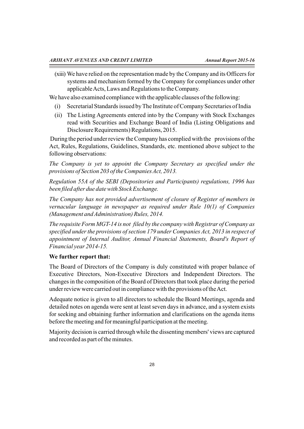(xiii) We have relied on the representation made by the Company and its Officers for systems and mechanism formed by the Company for compliances under other applicable Acts, Laws and Regulations to the Company.

We have also examined compliance with the applicable clauses of the following:

- (i) Secretarial Standards issued by The Institute of Company Secretaries of India
- (ii) The Listing Agreements entered into by the Company with Stock Exchanges read with Securities and Exchange Board of India (Listing Obligations and Disclosure Requirements) Regulations, 2015.

During the period under review the Company has complied with the provisions of the Act, Rules, Regulations, Guidelines, Standards, etc. mentioned above subject to the following observations:

*The Company is yet to appoint the Company Secretary as specified under the provisions of Section 203 of the Companies Act, 2013.*

*Regulation 55A of the SEBI (Depositories and Participants) regulations, 1996 has been filed after due date with Stock Exchange.*

*The Company has not provided advertisement of closure of Register of members in vernacular language in newspaper as required under Rule 10(1) of Companies (Management and Administration) Rules, 2014.*

*The requisite Form MGT-14 is not filed by the company with Registrar of Company as specified under the provisions of section 179 under Companies Act, 2013 in respect of appointment of Internal Auditor, Annual Financial Statements, Board's Report of Financial year 2014-15.*

# **We further report that:**

The Board of Directors of the Company is duly constituted with proper balance of Executive Directors, Non-Executive Directors and Independent Directors. The changes in the composition of the Board of Directors that took place during the period under review were carried out in compliance with the provisions of the Act.

Adequate notice is given to all directors to schedule the Board Meetings, agenda and detailed notes on agenda were sent at least seven days in advance, and a system exists for seeking and obtaining further information and clarifications on the agenda items before the meeting and for meaningful participation at the meeting.

Majority decision is carried through while the dissenting members' views are captured and recorded as part of the minutes.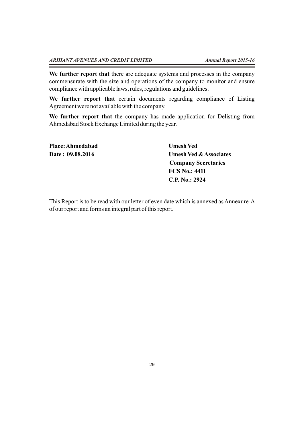**We further report that** there are adequate systems and processes in the company commensurate with the size and operations of the company to monitor and ensure compliance with applicable laws, rules, regulations and guidelines.

**We further report that** certain documents regarding compliance of Listing Agreement were not available with the company.

**We further report that** the company has made application for Delisting from Ahmedabad Stock Exchange Limited during the year.

| Place: Ahmedabad | <b>Umesh Ved</b>                  |
|------------------|-----------------------------------|
| Date: 09.08.2016 | <b>Umesh Ved &amp; Associates</b> |
|                  | <b>Company Secretaries</b>        |
|                  | <b>FCS No.: 4411</b>              |
|                  | C.P. No.: 2924                    |

This Report is to be read with our letter of even date which is annexed as Annexure-A of our report and forms an integral part of this report.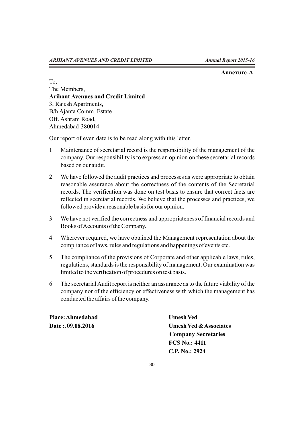#### **Annexure-A**

To, The Members, **Arihant Avenues and Credit Limited** 3, Rajesh Apartments, B/h Ajanta Comm. Estate Off. Ashram Road, Ahmedabad-380014

Our report of even date is to be read along with this letter.

- 1. Maintenance of secretarial record is the responsibility of the management of the company. Our responsibility is to express an opinion on these secretarial records based on our audit.
- 2. We have followed the audit practices and processes as were appropriate to obtain reasonable assurance about the correctness of the contents of the Secretarial records. The verification was done on test basis to ensure that correct facts are reflected in secretarial records. We believe that the processes and practices, we followed provide a reasonable basis for our opinion.
- 3. We have not verified the correctness and appropriateness of financial records and Books of Accounts of the Company.
- 4. Wherever required, we have obtained the Management representation about the compliance of laws, rules and regulations and happenings of events etc.
- 5. The compliance of the provisions of Corporate and other applicable laws, rules, regulations, standards is the responsibility of management. Our examination was limited to the verification of procedures on test basis.
- 6. The secretarial Audit report is neither an assurance as to the future viability of the company nor of the efficiency or effectiveness with which the management has conducted the affairs of the company.

Place: Ahmedabad **Umesh Ved** 

**Date :. 09.08.2016 Umesh Ved & Associates Company Secretaries FCS No.: 4411 C.P. No.: 2924**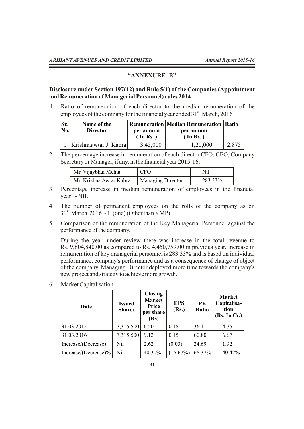#### **"ANNEXURE- B"**

# **Disclosure under Section 197(12) and Rule 5(1) of the Companies (Appointment and Remuneration of Managerial Personnel) rules 2014**

1. Ratio of remuneration of each director to the median remuneration of the employees of the company for the financial year ended  $31<sup>st</sup>$  March, 2016

| Sr.<br><b>Remuneration   Median Remuneration   Ratio</b><br>Name of the<br>No.<br><b>Director</b><br>per annum<br>per annum<br>$(\ln \text{Rs.})$<br>(In Rs.) |       |
|---------------------------------------------------------------------------------------------------------------------------------------------------------------|-------|
| Krishnaawtar J. Kabra<br>3,45,000<br>1,20,000                                                                                                                 | 2.875 |

2. The percentage increase in remuneration of each director CFO, CEO, Company Secretary or Manager, if any, in the financial year 2015-16:

| Mr. Vijaybhai Mehta     | <b>CFO</b>        | Nil     |
|-------------------------|-------------------|---------|
| Mr. Krishna Awtar Kabra | Managing Director | 283.33% |

- 3. Percentage increase in median remuneration of employees in the financial year - NIL
- 4. The number of permanent employees on the rolls of the company as on  $31<sup>st</sup>$  March, 2016 - 1 (one) (Other than KMP)
- 5. Comparison of the remuneration of the Key Managerial Personnel against the performance of the company.

During the year, under review there was increase in the total revenue to Rs. 9,804,840.00 as compared to Rs. 4,450,759.00 in previous year. Increase in remuneration of key managerial personnel is 283.33% and is based on individual performance, company's performance and as a consequence of change of object of the company, Managing Director deployed more time towards the company's new project and strategy to achieve more growth.

- 31.03.2015 | 7,315,500 | 6.50 | 0.18 | 36.11 | 4.75  $31.03.2016$   $7.315.500$   $9.12$   $0.15$   $60.80$   $6.67$  $\text{Increase/}(\text{Decrease})$  Nil 2.62  $|(0.03)$  24.69 1.92  $\text{Increase/}(\text{Decrease})\%$  Nil  $\begin{bmatrix} 40.30\% & (16.67\%) & 68.37\% \end{bmatrix}$  40.42% **Date Issued Shares Closing Market Price per share (Rs) EPS (Rs.) PE Ratio Market Capitalisation (Rs. In Cr.)**
- 6. Market Capitalisation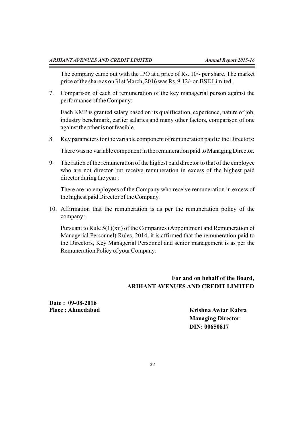The company came out with the IPO at a price of Rs. 10/- per share. The market price of the share as on 31st March, 2016 was Rs. 9.12/- on BSE Limited.

7. Comparison of each of remuneration of the key managerial person against the performance of the Company:

Each KMP is granted salary based on its qualification, experience, nature of job, industry benchmark, earlier salaries and many other factors, comparison of one against the other is not feasible.

8. Key parameters for the variable component of remuneration paid to the Directors:

There was no variable component in the remuneration paid to Managing Director.

9. The ration of the remuneration of the highest paid director to that of the employee who are not director but receive remuneration in excess of the highest paid director during the year :

There are no employees of the Company who receive remuneration in excess of the highest paid Director of the Company.

10. Affirmation that the remuneration is as per the remuneration policy of the company :

Pursuant to Rule 5(1)(xii) of the Companies (Appointment and Remuneration of Managerial Personnel) Rules, 2014, it is affirmed that the remuneration paid to the Directors, Key Managerial Personnel and senior management is as per the Remuneration Policy of your Company.

# **For and on behalf of the Board, ARIHANT AVENUES AND CREDIT LIMITED**

**Date : 09-08-2016 Place : Ahmedabad**

**Krishna Awtar Kabra Managing Director DIN: 00650817**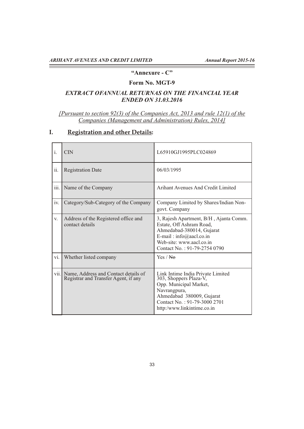# **"Annexure - C"**

# **Form No. MGT-9**

# *EXTRACT OFANNUAL RETURNAS ON THE FINANCIAL YEAR ENDED ON 31.03.2016*

*[Pursuant to section 92(3) of the Companies Act, 2013 and rule 12(1) of the Companies (Management and Administration) Rules, 2014]*

# **I. Registration and other Details:**

| $\mathbf{i}$ . | $\overline{\text{CN}}$                                                       | L65910GJ1995PLC024869                                                                                                                                                                            |
|----------------|------------------------------------------------------------------------------|--------------------------------------------------------------------------------------------------------------------------------------------------------------------------------------------------|
| 11.            | <b>Registration Date</b>                                                     | 06/03/1995                                                                                                                                                                                       |
| iii.           | Name of the Company                                                          | Arihant Avenues And Credit Limited                                                                                                                                                               |
| iv.            | Category/Sub-Category of the Company                                         | Company Limited by Shares/Indian Non-<br>govt. Company                                                                                                                                           |
| V.             | Address of the Registered office and<br>contact details                      | 3, Rajesh Apartment, B/H, Ajanta Comm.<br>Estate, Off Ashram Road,<br>Ahmedabad-380014, Gujarat<br>E-mail: $info(\omega)$ aacl.co.in<br>Web-site: www.aacl.co.in<br>Contact No.: 91-79-2754 0790 |
| vi.            | Whether listed company                                                       | Yes / <del>No</del>                                                                                                                                                                              |
| vii.           | Name, Address and Contact details of<br>Registrar and Transfer Agent, if any | Link Intime India Private Limited<br>303, Shoppers Plaza-V,<br>Opp. Municipal Market,<br>Navrangpura,<br>Ahmedabad 380009, Gujarat<br>Contact No.: 91-79-3000 2701<br>http:/www.linkintime.co.in |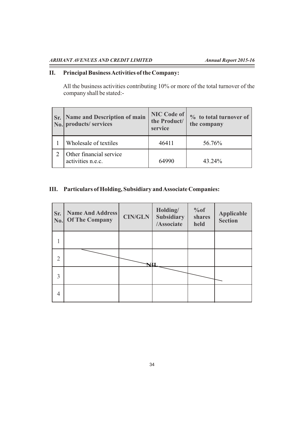$\overline{\phantom{a}}$ 

# **II. Principal Business Activities of the Company:**

All the business activities contributing 10% or more of the total turnover of the company shall be stated:-

| Sr. Name and Description of main<br>No. products/ services | <b>NIC Code of</b><br>the Product/<br>service | % to total turnover of<br>the company |
|------------------------------------------------------------|-----------------------------------------------|---------------------------------------|
| Wholesale of textiles                                      | 46411                                         | 56.76%                                |
| Other financial service<br>activities n.e.c.               | 64990                                         | 43.24%                                |

# **III. Particulars of Holding, Subsidiary and Associate Companies:**

| Sr.<br>$\mathbf{No.}$ | <b>Name And Address</b><br><b>Of The Company</b> | <b>CIN/GLN</b> | Holding/<br><b>Subsidiary</b><br>/Associate | %of<br>shares<br>held | <b>Applicable</b><br><b>Section</b> |
|-----------------------|--------------------------------------------------|----------------|---------------------------------------------|-----------------------|-------------------------------------|
|                       |                                                  |                |                                             |                       |                                     |
| $\overline{2}$        |                                                  |                |                                             |                       |                                     |
| 3                     |                                                  |                |                                             |                       |                                     |
| $\overline{4}$        |                                                  |                |                                             |                       |                                     |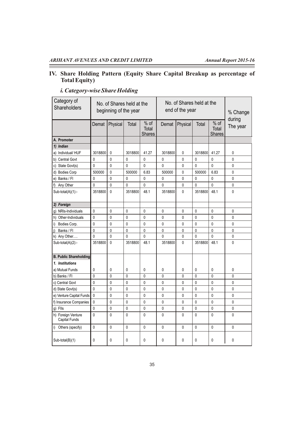# **IV. Share Holding Pattern (Equity Share Capital Breakup as percentage of Total Equity)**

| Category of<br>Shareholders                |              | No. of Shares held at the<br>beginning of the year |              |                                  |              | No. of Shares held at the<br>end of the year |              | % Change<br>during               |              |
|--------------------------------------------|--------------|----------------------------------------------------|--------------|----------------------------------|--------------|----------------------------------------------|--------------|----------------------------------|--------------|
|                                            | Demat        | Physical                                           | Total        | $%$ of<br>Total<br><b>Shares</b> | Demat        | Physical                                     | Total        | $%$ of<br>Total<br><b>Shares</b> | The year     |
| A. Promoter                                |              |                                                    |              |                                  |              |                                              |              |                                  |              |
| 1) Indian                                  |              |                                                    |              |                                  |              |                                              |              |                                  |              |
| a) Individual/HUF                          | 3018800      | 0                                                  | 3018800      | 41.27                            | 3018800      | 0                                            | 3018800      | 41.27                            | $\pmb{0}$    |
| b) Central Govt                            | $\mathbf 0$  | 0                                                  | 0            | 0                                | $\mathbf 0$  | 0                                            | $\mathbf 0$  | $\mathbf 0$                      | $\mathbf 0$  |
| c) State Govt(s)                           | $\mathbf{0}$ | $\mathbf{0}$                                       | 0            | 0                                | $\mathbf{0}$ | 0                                            | $\mathbf{0}$ | $\mathbf{0}$                     | 0            |
| d) Bodies Corp                             | 500000       | 0                                                  | 500000       | 6.83                             | 500000       | 0                                            | 500000       | 6.83                             | 0            |
| e) Banks / Fl                              | $\mathbf 0$  | 0                                                  | 0            | 0                                | 0            | 0                                            | $\mathbf 0$  | $\mathbf 0$                      | 0            |
| f) Any Other                               | $\mathbf 0$  | 0                                                  | 0            | 0                                | 0            | 0                                            | $\mathbf 0$  | $\mathbf 0$                      | 0            |
| Sub-total(A)(1):-                          | 3518800      | 0                                                  | 3518800      | 48.1                             | 3518800      | 0                                            | 3518800      | 48.1                             | 0            |
| 2) Foreign                                 |              |                                                    |              |                                  |              |                                              |              |                                  |              |
| g) NRIs-Individuals                        | $\mathbf{0}$ | 0                                                  | 0            | $\mathbf{0}$                     | $\mathbf{0}$ | 0                                            | $\mathbf{0}$ | $\mathbf{0}$                     | 0            |
| h) Other-Individuals                       | $\mathbf 0$  | 0                                                  | 0            | 0                                | $\mathbf{0}$ | 0                                            | $\mathbf{0}$ | $\mathbf{0}$                     | 0            |
| Bodies Corp.<br>i)                         | $\mathbf 0$  | $\mathbf{0}$                                       | $\mathbf{0}$ | $\overline{0}$                   | $\mathbf{0}$ | 0                                            | $\mathbf{0}$ | $\mathbf{0}$                     | 0            |
| Banks / Fl<br>j)                           | $\mathbf 0$  | 0                                                  | 0            | 0                                | 0            | $\mathbf 0$                                  | $\mathbf 0$  | $\mathbf 0$                      | 0            |
| k) Any Other                               | $\mathbf{0}$ | $\mathbf{0}$                                       | $\mathbf{0}$ | 0                                | $\mathbf{0}$ | $\mathbf{0}$                                 | $\mathbf{0}$ | $\mathbf{0}$                     | 0            |
| Sub-total(A)(2):-                          | 3518800      | 0                                                  | 3518800      | 48.1                             | 3518800      | 0                                            | 3518800      | 48.1                             | 0            |
| <b>B. Public Shareholding</b>              |              |                                                    |              |                                  |              |                                              |              |                                  |              |
| 1. Institutions                            |              |                                                    |              |                                  |              |                                              |              |                                  |              |
| a) Mutual Funds                            | $\mathbf{0}$ | 0                                                  | 0            | 0                                | 0            | 0                                            | $\mathbf 0$  | $\mathbf 0$                      | 0            |
| b) Banks / Fl                              | $\mathbf{0}$ | 0                                                  | 0            | 0                                | $\mathbf{0}$ | $\mathbf{0}$                                 | $\mathbf{0}$ | $\mathbf{0}$                     | $\mathbf{0}$ |
| c) Central Govt                            | $\mathbf{0}$ | 0                                                  | 0            | 0                                | $\mathbf 0$  | 0                                            | $\mathbf{0}$ | $\mathbf 0$                      | 0            |
| d) State Govt(s)                           | $\Omega$     | 0                                                  | 0            | 0                                | 0            | 0                                            | 0            | $\mathbf 0$                      | 0            |
| e) Venture Capital Funds                   | $\mathbf{0}$ | 0                                                  | 0            | 0                                | $\mathbf{0}$ | 0                                            | $\mathbf{0}$ | $\mathbf{0}$                     | 0            |
| f) Insurance Companies                     | $\mathbf{0}$ | 0                                                  | 0            | 0                                | $\mathbf{0}$ | 0                                            | $\mathbf{0}$ | $\mathbf{0}$                     | 0            |
| g) Flls                                    | $\mathbf{0}$ | 0                                                  | 0            | 0                                | 0            | 0                                            | 0            | $\mathbf 0$                      | 0            |
| h) Foreign Venture<br><b>Capital Funds</b> | $\mathbf{0}$ | 0                                                  | 0            | 0                                | $\mathbf{0}$ | $\Omega$                                     | $\mathbf{0}$ | $\mathbf{0}$                     | 0            |
| i) Others (specify)                        | $\mathbf{0}$ | 0                                                  | 0            | $\mathbf{0}$                     | $\mathbf{0}$ | $\mathbf{0}$                                 | $\mathbf{0}$ | $\mathbf{0}$                     | 0            |
| $Sub-total(B)(1)$                          | 0            | 0                                                  | 0            | 0                                | 0            | 0                                            | 0            | $\mathbf{0}$                     | 0            |

# *i. Category-wise Share Holding*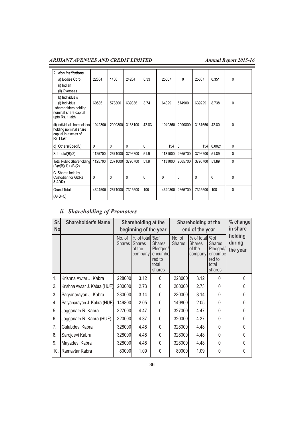| 2. Non Institutions                                                                                  |          |         |          |       |              |              |         |              |              |
|------------------------------------------------------------------------------------------------------|----------|---------|----------|-------|--------------|--------------|---------|--------------|--------------|
| a) Bodies Corp.<br>(i) Indian<br>(ii) Overseas                                                       | 22864    | 1400    | 24264    | 0.33  | 25667        | 0            | 25667   | 0.351        | 0            |
| b) Individuals<br>(i) Individual<br>shareholders holding<br>nominal share capital<br>upto Rs. 1 lakh | 60536    | 578800  | 639336   | 8.74  | 64329        | 574900       | 639229  | 8.738        | 0            |
| (ii) Individual shareholders<br>holding nominal share<br>capital in excess of<br>Rs 1 lakh           | 1042300  | 2090800 | 3133100  | 42.83 | 1040850      | 2090800      | 3131650 | 42.80        | 0            |
| c) Others (Specify)                                                                                  | $\Omega$ | 0       | $\Omega$ | 0     | 154          | $\mathbf{0}$ | 154     | 0.0021       | $\Omega$     |
| $Sub-total(B)(2)$                                                                                    | 1125700  | 2671000 | 3796700  | 51.9  | 1131000      | 2665700      | 3796700 | 51.89        | 0            |
| Total Public Shareholding<br>$(B)=(B)(1)+(B)(2)$                                                     | 1125700  | 2671000 | 3796700  | 51.9  | 1131000      | 2665700      | 3796700 | 51.89        | 0            |
| C. Shares held by<br>Custodian for GDRs<br>& ADRs                                                    | 0        | 0       | $\Omega$ | 0     | $\mathbf{0}$ | $\mathbf{0}$ | 0       | $\mathbf{0}$ | $\mathbf{0}$ |
| <b>Grand Total</b><br>$(A+B+C)$                                                                      | 4644500  | 2671000 | 7315500  | 100   | 4649800      | 2665700      | 7315500 | 100          | 0            |

# *ii. Shareholding of Promoters*

| Sr.<br><b>No</b> | <b>Shareholder's Name</b>    | Shareholding at the<br>beginning of the year |                                                  |                                                                           | Shareholding at the<br>end of the year |                                                       |                                                                   | % change<br>in share          |
|------------------|------------------------------|----------------------------------------------|--------------------------------------------------|---------------------------------------------------------------------------|----------------------------------------|-------------------------------------------------------|-------------------------------------------------------------------|-------------------------------|
|                  |                              | No. of<br>Shares I                           | % of total<br><b>Shares</b><br>of the<br>company | %of<br><b>Shares</b><br>Pledged/<br>encumbel<br>red to<br>total<br>shares | No. of<br><b>Shares</b>                | % of total % of<br><b>Shares</b><br>of the<br>company | <b>Shares</b><br>Pledged/<br>encumbe<br>red to<br>total<br>shares | holding<br>during<br>the year |
| 1.               | Krishna Awtar J. Kabra       | 228000                                       | 3.12                                             | $\Omega$                                                                  | 228000                                 | 3.12                                                  | $\Omega$                                                          | $\Omega$                      |
| 2.               | Krishna Awtar J. Kabra (HUF) | 200000                                       | 2.73                                             | $\Omega$                                                                  | 200000                                 | 2.73                                                  | $\Omega$                                                          |                               |
| 3.               | Satyanarayan J. Kabra        | 230000                                       | 3.14                                             | 0                                                                         | 230000                                 | 3.14                                                  | <sup>0</sup>                                                      |                               |
| 4.               | Satyanarayan J. Kabra (HUF)  | 149800                                       | 2.05                                             | $\theta$                                                                  | 149800                                 | 2.05                                                  | $\Omega$                                                          | O                             |
| 5.               | Jagganath R. Kabra           | 327000                                       | 4.47                                             | 0                                                                         | 327000                                 | 4.47                                                  | $\Omega$                                                          | N                             |
| 6.               | Jagganath R. Kabra (HUF)     | 320000                                       | 4.37                                             | $\Omega$                                                                  | 320000                                 | 4.37                                                  | $\Omega$                                                          |                               |
| 7.               | Gulabdevi Kabra              | 328000                                       | 4.48                                             | $\theta$                                                                  | 328000                                 | 4.48                                                  | $\Omega$                                                          | N                             |
| 8.               | Sarojdevi Kabra              | 328000                                       | 4.48                                             | $\Omega$                                                                  | 328000                                 | 4.48                                                  | $\Omega$                                                          |                               |
| 9.               | Mayadevi Kabra               | 328000                                       | 4.48                                             | 0                                                                         | 328000                                 | 4.48                                                  | U                                                                 |                               |
| 10.              | Ramavtar Kabra               | 80000                                        | 1.09                                             | 0                                                                         | 80000                                  | 1.09                                                  | $\Omega$                                                          | 0                             |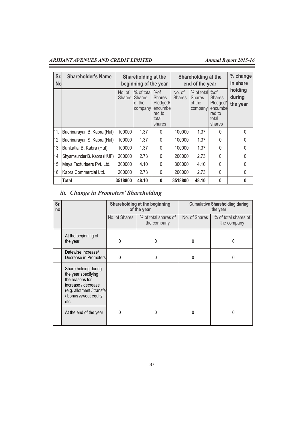Ξ

| Sr.<br><b>No</b> | <b>Shareholder's Name</b>   | Shareholding at the<br>beginning of the year |                                                  |                                                                          | Shareholding at the<br>end of the year |                                                  |                                                                           | % change<br>in share          |
|------------------|-----------------------------|----------------------------------------------|--------------------------------------------------|--------------------------------------------------------------------------|----------------------------------------|--------------------------------------------------|---------------------------------------------------------------------------|-------------------------------|
|                  |                             | No. of<br>Shares I                           | % of total<br><b>Shares</b><br>of the<br>company | %of<br><b>Shares</b><br>Pledged/<br>encumbe<br>red to<br>total<br>shares | No. of<br><b>Shares</b>                | % of total<br><b>Shares</b><br>of the<br>company | %of<br><b>Shares</b><br>Pledged/<br>encumbel<br>red to<br>total<br>shares | holding<br>during<br>the year |
| 11.              | Badrinarayan B. Kabra (Huf) | 100000                                       | 1.37                                             | $\Omega$                                                                 | 100000                                 | 1.37                                             | $\Omega$                                                                  | $\theta$                      |
| 12.              | Badrinarayan S. Kabra (Huf) | 100000                                       | 1.37                                             | 0                                                                        | 100000                                 | 1.37                                             | 0                                                                         | 0                             |
| 13.              | Bankatlal B. Kabra (Huf)    | 100000                                       | 1.37                                             | $\Omega$                                                                 | 100000                                 | 1.37                                             | $\Omega$                                                                  | 0                             |
| 14.              | Shyamsunder B. Kabra (HUF)  | 200000                                       | 2.73                                             | $\Omega$                                                                 | 200000                                 | 2.73                                             | $\Omega$                                                                  | 0                             |
| 15.              | Maya Texturisers Pvt. Ltd.  | 300000                                       | 4.10                                             | $\mathbf{0}$                                                             | 300000                                 | 4.10                                             | 0                                                                         | 0                             |
| 16.              | Kabra Commercial Ltd.       | 200000                                       | 2.73                                             | $\mathbf{0}$                                                             | 200000                                 | 2.73                                             | $\Omega$                                                                  | 0                             |
|                  | Total                       | 3518800                                      | 48.10                                            | $\mathbf{0}$                                                             | 3518800                                | 48.10                                            | 0                                                                         | 0                             |

# *iii. Change in Promoters' Shareholding*

| Sr.<br>no |                                                                                                                                                     |               | Shareholding at the beginning<br>of the year | <b>Cumulative Shareholding during</b><br>the year |                                     |  |
|-----------|-----------------------------------------------------------------------------------------------------------------------------------------------------|---------------|----------------------------------------------|---------------------------------------------------|-------------------------------------|--|
|           |                                                                                                                                                     | No. of Shares | % of total shares of<br>the company          | No. of Shares                                     | % of total shares of<br>the company |  |
|           | At the beginning of<br>the year                                                                                                                     | 0             | 0                                            | 0                                                 | 0                                   |  |
|           | Datewise Increase/<br>Decrease in Promoters<br>0                                                                                                    |               | 0                                            | 0                                                 | 0                                   |  |
|           | Share holding during<br>the year specifying<br>the reasons for<br>increase / decrease<br>(e.g. allotment / transfer<br>bonus / sweat equity<br>etc. |               |                                              |                                                   |                                     |  |
|           | At the end of the year                                                                                                                              | N             | 0                                            | 0                                                 | N                                   |  |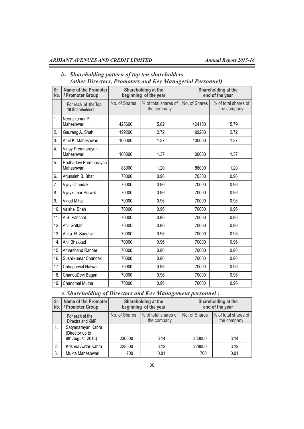$\equiv$ 

# *iv. Shareholding pattern of top ten shareholders (other Directors, Promoters and Key Managerial Personnel)*

| Sr.<br>No. | Name of the Promoter<br>/ Promoter Group      |               | Shareholding at the<br>beginning of the year | Shareholding at the<br>end of the year |                                     |  |
|------------|-----------------------------------------------|---------------|----------------------------------------------|----------------------------------------|-------------------------------------|--|
|            | For each of the Top<br><b>10 Shareholders</b> | No. of Shares | % of total shares of<br>the company          | No. of Shares                          | % of total shares of<br>the company |  |
| 1.         | Neerajkumar P.<br>Maheshwari                  | 425600        | 5.82                                         | 424150                                 | 5.79                                |  |
| 2.         | Gaurang A. Shah                               | 199200        | 2.72                                         | 199200                                 | 2.72                                |  |
| 3.         | Amit K. Maheshwari                            | 100000        | 1.37                                         | 100000                                 | 1.37                                |  |
| 4.         | Vinay Premnarayan<br>Maheshwari               | 100000        | 1.37                                         | 100000                                 | 1.37                                |  |
| 5.         | Radhadevi Premnarayan<br>Maheshwari           | 88000         | 1.20                                         | 88000                                  | 1.20                                |  |
| 6.         | Arjunsinh B. Bhati                            | 70300         | 0.96                                         | 70300                                  | 0.96                                |  |
| 7.         | Vijay Chandak                                 | 70000         | 0.96                                         | 70000                                  | 0.96                                |  |
| 8.         | Vijaykumar Parwal                             | 70000         | 0.96                                         | 70000                                  | 0.96                                |  |
| 9.         | <b>Vinod Mittal</b>                           | 70000         | 0.96                                         | 70000                                  | 0.96                                |  |
| 10.        | Vaishal Shah                                  | 70000         | 0.96                                         | 70000                                  | 0.96                                |  |
| 11.        | A.B. Panchal                                  | 70000         | 0.96                                         | 70000                                  | 0.96                                |  |
| 12.        | Anil Gattani                                  | 70000         | 0.96                                         | 70000                                  | 0.96                                |  |
| 13.        | Anita R. Sanghvi                              | 70000         | 0.96                                         | 70000                                  | 0.96                                |  |
| 14.        | Anil Bhakkad                                  | 70000         | 0.96                                         | 70000                                  | 0.96                                |  |
| 15.        | Amarchand Rander                              | 70000         | 0.96                                         | 70000                                  | 0.96                                |  |
| 16.        | Sushilkumar Chandak                           | 70000         | 0.96                                         | 70000                                  | 0.96                                |  |
| 17.        | Chhaparwal Natwar                             | 70000         | 0.96                                         | 70000                                  | 0.96                                |  |
| 18.        | ChanduDevi Bagari                             | 70000         | 0.96                                         | 70000                                  | 0.96                                |  |
| 19.        | Chandmal Mutha                                | 70000         | 0.96                                         | 70000                                  | 0.96                                |  |

*v. Shareholding of Directors and Key Management personnel :*

| Sr.<br>No. | Name of the Promoter<br>/ Promoter Group                   |                                                        | Shareholding at the<br>beginning of the year | Shareholding at the<br>end of the year |                                     |  |
|------------|------------------------------------------------------------|--------------------------------------------------------|----------------------------------------------|----------------------------------------|-------------------------------------|--|
|            | For each of the<br><b>Directrs and KMP</b>                 | No. of Shares<br>% of total shares of  <br>the company |                                              | No. of Shares                          | % of total shares of<br>the company |  |
|            | Satyanarayan Kabra<br>(Director up to<br>9th August, 2016) | 230000                                                 | 3.14                                         |                                        | 3.14                                |  |
| 2.         | Krishna Awtar Kabra                                        | 3.12<br>228000                                         |                                              | 228000                                 | 3.12                                |  |
| 3.         | Mukta Maheshwari                                           | 700                                                    | 0.01                                         | 700                                    | 0.01                                |  |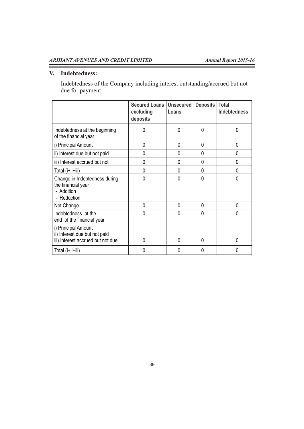$\overline{\phantom{a}}$ 

### **V. Indebtedness:**

Ξ

Indebtedness of the Company including interest outstanding/accrued but not due for payment

|                                                                                  | Secured Loans   Unsecured  <br>excluding<br>deposits | Loans | <b>Deposits</b> | <b>Total</b><br><b>Indebtedness</b> |
|----------------------------------------------------------------------------------|------------------------------------------------------|-------|-----------------|-------------------------------------|
| Indebtedness at the beginning<br>of the financial year                           | 0                                                    | 0     | 0               | 0                                   |
| i) Principal Amount                                                              | 0                                                    | 0     | 0               | 0                                   |
| ii) Interest due but not paid                                                    | 0                                                    | 0     | 0               | 0                                   |
| iii) Interest accrued but not                                                    | $\mathbf 0$                                          | 0     | 0               | 0                                   |
| Total (i+ii+iii)                                                                 | 0                                                    | 0     | 0               | 0                                   |
| Change in Indebtedness during<br>the financial year<br>- Addition<br>- Reduction | 0                                                    | 0     | $\Omega$        | 0                                   |
| Net Change                                                                       | 0                                                    | 0     | 0               | 0                                   |
| Indebtedness at the<br>end of the financial year<br>i) Principal Amount          | 0                                                    | 0     | 0               | N                                   |
| ii) Interest due but not paid<br>iii) Interest accrued but not due               | $\mathbf 0$                                          | 0     | 0               | 0                                   |
| Total (i+ii+iii)                                                                 | 0                                                    | 0     | 0               | 0                                   |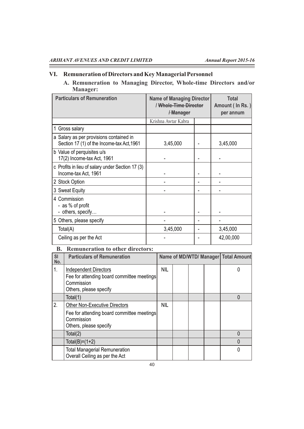Ξ

 $\sim$ 

# **VI. Remuneration of Directors and Key Managerial Personnel**

**A. Remuneration to Managing Director, Whole-time Directors and/or Manager:**

| <b>Particulars of Remuneration</b>                                                    | <b>Name of Managing Director</b><br>/ Whole-Time Director<br>/Manager | <b>Total</b><br>Amount (In Rs.)<br>per annum |           |
|---------------------------------------------------------------------------------------|-----------------------------------------------------------------------|----------------------------------------------|-----------|
|                                                                                       | Krishna Awtar Kabra                                                   |                                              |           |
| 1 Gross salary                                                                        |                                                                       |                                              |           |
| a Salary as per provisions contained in<br>Section 17 (1) of the Income-tax Act, 1961 | 3,45,000                                                              |                                              | 3,45,000  |
| b Value of perquisites u/s<br>17(2) Income-tax Act, 1961                              |                                                                       |                                              |           |
| c Profits in lieu of salary under Section 17 (3)<br>Income-tax Act, 1961              |                                                                       |                                              |           |
| 2 Stock Option                                                                        |                                                                       |                                              |           |
| 3 Sweat Equity                                                                        |                                                                       |                                              |           |
| 4 Commission<br>- as % of profit<br>- others, specify                                 |                                                                       |                                              |           |
| 5 Others, please specify                                                              |                                                                       |                                              |           |
| Total(A)                                                                              | 3,45,000                                                              |                                              | 3,45,000  |
| Ceiling as per the Act                                                                |                                                                       |                                              | 42,00,000 |

# **B. Remuneration to other directors:**

| SI<br>No. | <b>Particulars of Remuneration</b>                                                                                         |            |  | Name of MD/WTD/ Manager   Total Amount |
|-----------|----------------------------------------------------------------------------------------------------------------------------|------------|--|----------------------------------------|
| 1.        | <b>Independent Directors</b><br>Fee for attending board committee meetings<br>Commission<br>Others, please specify         | <b>NIL</b> |  |                                        |
|           | Total(1)                                                                                                                   |            |  | 0                                      |
| 2.        | <b>Other Non-Executive Directors</b><br>Fee for attending board committee meetings<br>Commission<br>Others, please specify | <b>NIL</b> |  |                                        |
|           | Total(2)                                                                                                                   |            |  | 0                                      |
|           | Total(B)= $(1+2)$                                                                                                          |            |  | 0                                      |
|           | <b>Total Managerial Remuneration</b><br>Overall Ceiling as per the Act                                                     |            |  | 0                                      |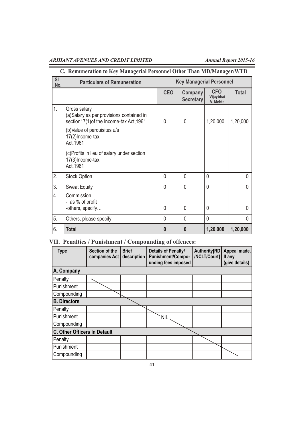Ξ

Ξ

# **C. Remuneration to Key Managerial Personnel Other Than MD/Manager/WTD**

| <b>SI</b><br>No. | <b>Particulars of Remuneration</b>                                                                   | <b>Key Managerial Personnel</b> |                             |                              |              |
|------------------|------------------------------------------------------------------------------------------------------|---------------------------------|-----------------------------|------------------------------|--------------|
|                  |                                                                                                      | <b>CEO</b>                      | Company<br><b>Secretary</b> | CFO<br>Vijaybhai<br>V. Mehta | <b>Total</b> |
| 1.               | Gross salary<br>(a)Salary as per provisions contained in<br>section17(1) of the Income-tax Act, 1961 | 0                               | 0                           | 1,20,000                     | 1,20,000     |
|                  | (b) Value of perquisites u/s<br>17(2) Income-tax<br>Act, 1961                                        |                                 |                             |                              |              |
|                  | (c)Profits in lieu of salary under section<br>17(3) Income-tax<br>Act, 1961                          |                                 |                             |                              |              |
| 2.               | <b>Stock Option</b>                                                                                  | 0                               | $\mathbf{0}$                | 0                            | 0            |
| 3.               | <b>Sweat Equity</b>                                                                                  | 0                               | $\Omega$                    | 0                            | 0            |
| 4.               | Commission<br>- as % of profit                                                                       |                                 |                             |                              |              |
|                  | -others, specify                                                                                     | 0                               | $\Omega$                    | $\Omega$                     | <sup>0</sup> |
| 5.               | Others, please specify                                                                               | 0                               | $\Omega$                    | $\mathbf 0$                  | 0            |
| 6.               | Total                                                                                                | $\bf{0}$                        | $\bf{0}$                    | 1,20,000                     | 1,20,000     |

# **VII. Penalties / Punishment / Compounding of offences:**

| <b>Type</b>                  | Section of the<br>companies Act | <b>Brief</b><br>description | Details of Penalty/<br><b>Punishment/Compo-</b><br>unding fees imposed | <b>Authority[RD</b><br>/NCLT/Court] | Appeal made.<br>If any<br>(give details) |
|------------------------------|---------------------------------|-----------------------------|------------------------------------------------------------------------|-------------------------------------|------------------------------------------|
| A. Company                   |                                 |                             |                                                                        |                                     |                                          |
| Penalty                      |                                 |                             |                                                                        |                                     |                                          |
| Punishment                   |                                 |                             |                                                                        |                                     |                                          |
| Compounding                  |                                 |                             |                                                                        |                                     |                                          |
| <b>B.</b> Directors          |                                 |                             |                                                                        |                                     |                                          |
| Penalty                      |                                 |                             |                                                                        |                                     |                                          |
| Punishment                   |                                 |                             | <b>NIL</b>                                                             |                                     |                                          |
| Compounding                  |                                 |                             |                                                                        |                                     |                                          |
| C. Other Officers In Default |                                 |                             |                                                                        |                                     |                                          |
| Penalty                      |                                 |                             |                                                                        |                                     |                                          |
| Punishment                   |                                 |                             |                                                                        |                                     |                                          |
| Compounding                  |                                 |                             |                                                                        |                                     |                                          |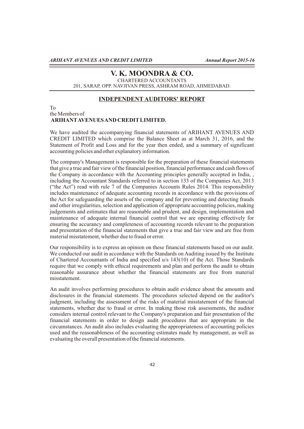# **V. K. MOONDRA & CO.**

CHARTERED ACCOUNTANTS 201, SARAP, OPP. NAVJIVAN PRESS, ASHRAM ROAD, AHMEDABAD.

# **INDEPENDENT AUDITORS' REPORT**

To the Members of **ARIHANTAVENUES AND CREDITLIMITED.** 

We have audited the accompanying financial statements of ARIHANT AVENUES AND CREDIT LIMITED which comprise the Balance Sheet as at March 31, 2016, and the Statement of Profit and Loss and for the year then ended, and a summary of significant accounting policies and other explanatory information.

The company's Management is responsible for the preparation of these financial statements that give a true and fair view of the financial position, financial performance and cash flows of the Company in accordance with the Accounting principles generally accepted in India, , including the Accountant Standards referred to in section 133 of the Companies Act, 2013 ("the Act") read with rule 7 of the Companies Accounts Rules 2014. This responsibility includes maintenance of adequate accounting records in accordance with the provisions of the Act for safeguarding the assets of the company and for preventing and detecting frauds and other irregularities, selection and application of appropriate accounting policies, making judgements and estimates that are reasonable and prudent, and design, implementation and maintenance of adequate internal financial control that we are operating effectively for ensuring the accurancy and completeness of accounting records relevant to the preparation and presentation of the financial statements that give a true and fair view and are free from material misstatement, whether due to fraud or error.

Our responsibility is to express an opinion on these financial statements based on our audit. We conducted our audit in accordance with the Standards on Auditing issued by the Institute of Chartered Accountants of India and specified u/s 143(10) of the Act. Those Standards require that we comply with ethical requirements and plan and perform the audit to obtain reasonable assurance about whether the financial statements are free from material misstatement.

An audit involves performing procedures to obtain audit evidence about the amounts and disclosures in the financial statements. The procedures selected depend on the auditor's judgment, including the assessment of the risks of material misstatement of the financial statements, whether due to fraud or error. In making those risk assessments, the auditor considers internal control relevant to the Company's preparation and fair presentation of the financial statements in order to design audit procedures that are appropriate in the circumstances. An audit also includes evaluating the appropriateness of accounting policies used and the reasonableness of the accounting estimates made by management, as well as evaluating the overall presentation of the financial statements.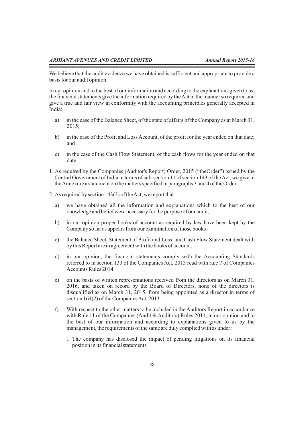We believe that the audit evidence we have obtained is sufficient and appropriate to provide a basis for our audit opinion.

In our opinion and to the best of our information and according to the explanations given to us, the financial statements give the information required by the Act in the manner so required and give a true and fair view in conformity with the accounting principles generally accepted in India:

- a) in the case of the Balance Sheet, of the state of affairs of the Company as at March 31, 2015;
- b) in the case of the Profit and Loss Account, of the profit for the year ended on that date; and
- c) in the case of the Cash Flow Statement, of the cash flows for the year ended on that date.
- 1. As required by the Companies (Auditor's Report) Order, 2015 ("theOrder") issued by the Central Government of India in terms of sub-section 11 of section 143 of the Act, we give in the Annexure a statement on the matters specified in paragraphs 3 and 4 of the Order.
- 2. As required by section 143(3) of the Act, we report that:
	- a) we have obtained all the information and explanations which to the best of our knowledge and belief were necessary for the purpose of our audit;
	- b) in our opinion proper books of account as required by law have been kept by the Company so far as appears from our examination of those books
	- c) the Balance Sheet, Statement of Profit and Loss, and Cash Flow Statement dealt with by this Report are in agreement with the books of account.
	- d) in our opinion, the financial statements comply with the Accounting Standards referred to in section 133 of the Companies Act, 2013 read with rule 7 of Companies Accounts Rules 2014
	- e) on the basis of written representations received from the directors as on March 31, 2016, and taken on record by the Board of Directors, none of the directors is disqualified as on March 31, 2015, from being appointed as a director in terms of section 164(2) of the Companies Act, 2013.
	- f) With respect to the other matters to be included in the Auditors Report in accordance with Rule 11 of the Companies (Audit & Auditors) Rules 2014, in our opinion and to the best of our information and according to explanations given to us by the management, the requirements of the same are duly complied with as under :
		- 1. The company has disclosed the impact of pending litigations on its financial position in its financial statements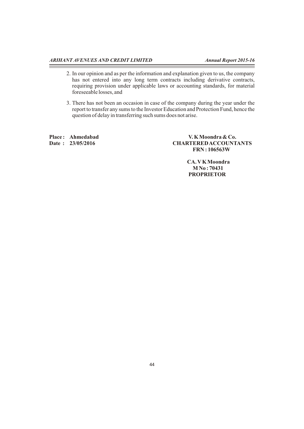$\equiv$ 

- 2. In our opinion and as per the information and explanation given to us, the company has not entered into any long term contracts including derivative contracts, requiring provision under applicable laws or accounting standards, for material foreseeable losses, and
- 3. There has not been an occasion in case of the company during the year under the report to transfer any sums to the Investor Education and Protection Fund, hence the question of delay in transferring such sums does not arise.

Place : Ahmedabad V. K Moondra & Co.<br>
Date : 23/05/2016 CHARTERED ACCOUNT  $CHARTERED ACCOUNTANTS$  **FRN : 106563W** 

> **CA. VK Moondra M No : 70431 PROPRIETOR**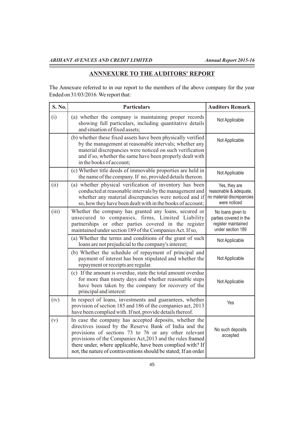Ξ

 $\equiv$ 

# **ANNNEXURE TO THE AUDITORS' REPORT**

The Annexure referred to in our report to the members of the above company for the year Ended on 31/03/2016. We report that:

| S. No. | <b>Particulars</b>                                                                                                                                                                                                                                                                                                                                                       | <b>Auditors Remark</b>                                                                  |
|--------|--------------------------------------------------------------------------------------------------------------------------------------------------------------------------------------------------------------------------------------------------------------------------------------------------------------------------------------------------------------------------|-----------------------------------------------------------------------------------------|
| (i)    | (a) whether the company is maintaining proper records<br>showing full particulars, including quantitative details<br>and situation of fixed assets;                                                                                                                                                                                                                      | Not Applicable                                                                          |
|        | (b) whether these fixed assets have been physically verified<br>by the management at reasonable intervals; whether any<br>material discrepancies were noticed on such verification<br>and if so, whether the same have been properly dealt with<br>in the books of account;                                                                                              | Not Applicable                                                                          |
|        | (c) Whether title deeds of immovable properties are held in<br>the name of the company. If no, provided details thereon.                                                                                                                                                                                                                                                 | Not Applicable                                                                          |
| (ii)   | (a) whether physical verification of inventory has been<br>conducted at reasonable intervals by the management and<br>whether any material discrepancies were noticed and if<br>so, how they have been dealt with in the books of account;                                                                                                                               | Yes, they are<br>reasonable & adequate,<br>no material discrepancies<br>were noticed    |
| (iii)  | Whether the company has granted any loans, secured or<br>unsecured to companies, firms, Limited Liability<br>partnerships or other parties covered in the register<br>maintained under section 189 of the Companies Act. If so,                                                                                                                                          | No loans given to<br>parties covered in the<br>register maintained<br>under section 189 |
|        | (a) Whether the terms and conditions of the grant of such<br>loans are not prejudicial to the company's interest;                                                                                                                                                                                                                                                        | Not Applicable                                                                          |
|        | (b) Whether the schedule of repayment of principal and<br>payment of interest has been stipulated and whether the<br>repayment or receipts are regular.                                                                                                                                                                                                                  | Not Applicable                                                                          |
|        | (c) If the amount is overdue, state the total amount overdue<br>for more than ninety days and whether reasonable steps<br>have been taken by the company for recovery of the<br>principal and interest:                                                                                                                                                                  | Not Applicable                                                                          |
| (iv)   | In respect of loans, investments and guarantees, whether<br>provision of section 185 and 186 of the companies act, 2013<br>have been complied with. If not, provide details thereof.                                                                                                                                                                                     | Yes                                                                                     |
| (v)    | In case the company has accepted deposits, whether the<br>directives issued by the Reserve Bank of India and the<br>provisions of sections 73 to 76 or any other relevant<br>provisions of the Companies Act, 2013 and the rules framed<br>there under, where applicable, have been complied with? If<br>not, the nature of contraventions should be stated; If an order | No such deposits<br>accepted                                                            |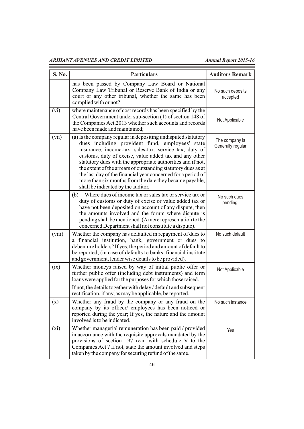| S. No. | <b>Particulars</b>                                                                                                                                                                                                                                                                                                                                                                                                                                                                                                                    | <b>Auditors Remark</b>              |
|--------|---------------------------------------------------------------------------------------------------------------------------------------------------------------------------------------------------------------------------------------------------------------------------------------------------------------------------------------------------------------------------------------------------------------------------------------------------------------------------------------------------------------------------------------|-------------------------------------|
|        | has been passed by Company Law Board or National<br>Company Law Tribunal or Reserve Bank of India or any<br>court or any other tribunal, whether the same has been<br>complied with or not?                                                                                                                                                                                                                                                                                                                                           | No such deposits<br>accepted        |
| (vi)   | where maintenance of cost records has been specified by the<br>Central Government under sub-section (1) of section 148 of<br>the Companies Act, 2013 whether such accounts and records<br>have been made and maintained;                                                                                                                                                                                                                                                                                                              | Not Applicable                      |
| (vii)  | (a) Is the company regular in depositing undisputed statutory<br>dues including provident fund, employees' state<br>insurance, income-tax, sales-tax, service tax, duty of<br>customs, duty of excise, value added tax and any other<br>statutory dues with the appropriate authorities and if not,<br>the extent of the arrears of outstanding statutory dues as at<br>the last day of the financial year concerned for a period of<br>more than six months from the date they became payable,<br>shall be indicated by the auditor. | The company is<br>Generally regular |
|        | Where dues of income tax or sales tax or service tax or<br>(b)<br>duty of customs or duty of excise or value added tax or<br>have not been deposited on account of any dispute, then<br>the amounts involved and the forum where dispute is<br>pending shall be mentioned. (A mere representation to the<br>concerned Department shall not constitute a dispute).                                                                                                                                                                     | No such dues<br>pending.            |
| (viii) | Whether the company has defaulted in repayment of dues to<br>a financial institution, bank, government or dues to<br>debenture holders? If yes, the period and amount of default to<br>be reported; (in case of defaults to banks, financial institute<br>and government, lender wise details to be provided).                                                                                                                                                                                                                        | No such default                     |
| (ix)   | Whether moneys raised by way of initial public offer or<br>further public offer (including debt instruments) and term<br>loans were applied for the purposes for which those raised.<br>If not, the details together with delay / default and subsequent<br>rectification, if any, as may be applicable, be reported.                                                                                                                                                                                                                 | Not Applicable                      |
| (x)    | Whether any fraud by the company or any fraud on the<br>company by its officer/ employees has been noticed or<br>reported during the year; If yes, the nature and the amount<br>involved is to be indicated.                                                                                                                                                                                                                                                                                                                          | No such instance                    |
| (xi)   | Whether managerial remuneration has been paid / provided<br>in accordance with the requisite approvals mandated by the<br>provisions of section 197 read with schedule V to the<br>Companies Act? If not, state the amount involved and steps<br>taken by the company for securing refund of the same.                                                                                                                                                                                                                                | Yes                                 |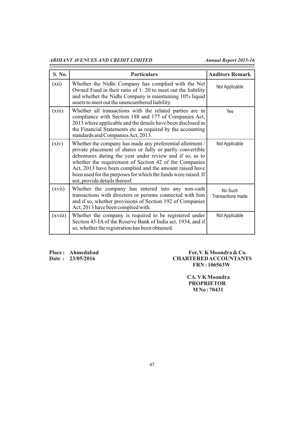| S. No.  | <b>Particulars</b>                                                                                                                                                                                                                                                                                                                                                                                          | <b>Auditors Remark</b>       |
|---------|-------------------------------------------------------------------------------------------------------------------------------------------------------------------------------------------------------------------------------------------------------------------------------------------------------------------------------------------------------------------------------------------------------------|------------------------------|
| (xii)   | Whether the Nidhi Company has complied with the Net<br>Owned Fund in their ratio of 1:20 to meet out the liability<br>and whether the Nidhi Company is maintaining 10% liquid<br>assets to meet out the unencumbered liability.                                                                                                                                                                             | Not Applicable               |
| (xiii)  | Whether all transactions with the related parties are in<br>compliance with Section 188 and 177 of Companies Act,<br>2013 where applicable and the details have been disclosed in<br>the Financial Statements etc as required by the accounting<br>standards and Companies Act, 2013.                                                                                                                       | Yes                          |
| (xiv)   | Whether the company has made any preferential allotment /<br>private placement of shares or fully or partly convertible<br>debentures during the year under review and if so, as to<br>whether the requirement of Section 42 of the Companies<br>Act, 2013 have been complied and the amount raised have<br>been used for the purposes for which the funds were raised. If<br>not, provide details thereof. | Not Applicable               |
| (xvii)  | Whether the company has entered into any non-cash<br>transactions with directors or persons connected with him<br>and if so, whether provisions of Section 192 of Companies<br>Act, 2013 have been complied with.                                                                                                                                                                                           | No Such<br>Transactions made |
| (xviii) | Whether the company is required to be registered under<br>Section 45-IA of the Reserve Bank of India act, 1934, and if<br>so, whether the registration has been obtained.                                                                                                                                                                                                                                   | Not Applicable               |

Place : Ahmedabad For, V. K Moondra & Co.<br>Date : 23/05/2016 CHARTERED ACCOUNTANT  $CHARTERED ACCOUNTANTS$  **FRN : 106563W** 

> **CA. VK Moondra PROPRIETOR M No : 70431**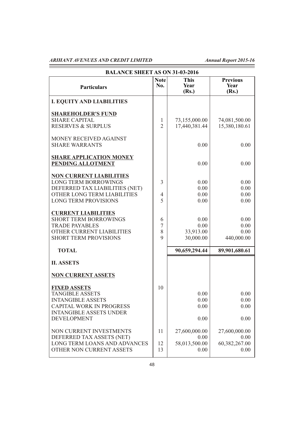Ξ

| <b>BALANCE SHEET AS ON 31-03-2016</b>                                                                                                                                |                                       |                                                |                                                |
|----------------------------------------------------------------------------------------------------------------------------------------------------------------------|---------------------------------------|------------------------------------------------|------------------------------------------------|
| <b>Particulars</b>                                                                                                                                                   | <b>Note</b><br>No.                    | <b>This</b><br>Year<br>(Rs.)                   | <b>Previous</b><br>Year<br>(Rs.)               |
| <b>I. EQUITY AND LIABILITIES</b>                                                                                                                                     |                                       |                                                |                                                |
| <b>SHAREHOLDER'S FUND</b><br><b>SHARE CAPITAL</b><br><b>RESERVES &amp; SURPLUS</b>                                                                                   | $\mathbf{1}$<br>$\overline{2}$        | 73,155,000.00<br>17,440,381.44                 | 74,081,500.00<br>15,380,180.61                 |
| MONEY RECEIVED AGAINST<br><b>SHARE WARRANTS</b>                                                                                                                      |                                       | 0.00                                           | 0.00                                           |
| <b>SHARE APPLICATION MONEY</b><br>PENDING ALLOTMENT                                                                                                                  |                                       | 0.00                                           | 0.00                                           |
| <b>NON CURRENT LIABILITIES</b><br><b>LONG TERM BORROWINGS</b><br>DEFERRED TAX LIABILITIES (NET)<br>OTHER LONG TERM LIABILITIES<br><b>LONG TERM PROVISIONS</b>        | $\overline{3}$<br>$\overline{4}$<br>5 | 0.00<br>0.00<br>0.00<br>0.00                   | 0.00<br>0.00<br>0.00<br>0.00                   |
| <b>CURRENT LIABILITIES</b><br><b>SHORT TERM BORROWINGS</b><br><b>TRADE PAYABLES</b><br>OTHER CURRENT LIABILITIES<br><b>SHORT TERM PROVISIONS</b>                     | 6<br>7<br>8<br>9                      | 0.00<br>0.00<br>33,913.00<br>30,000.00         | 0.00<br>0.00<br>0.00<br>440,000.00             |
| <b>TOTAL</b>                                                                                                                                                         |                                       | 90,659,294.44                                  | 89,901,680.61                                  |
| <b>II. ASSETS</b><br><b>NON CURRENT ASSETS</b>                                                                                                                       |                                       |                                                |                                                |
| <b>FIXED ASSETS</b><br><b>TANGIBLE ASSETS</b><br><b>INTANGIBLE ASSETS</b><br><b>CAPITAL WORK IN PROGRESS</b><br><b>INTANGIBLE ASSETS UNDER</b><br><b>DEVELOPMENT</b> | 10                                    | 0.00<br>0.00<br>0.00<br>0.00                   | 0.00<br>0.00<br>0.00<br>0.00                   |
| NON CURRENT INVESTMENTS<br>DEFERRED TAX ASSETS (NET)<br>LONG TERM LOANS AND ADVANCES<br>OTHER NON CURRENT ASSETS                                                     | 11<br>12<br>13                        | 27,600,000.00<br>0.00<br>58,013,500.00<br>0.00 | 27,600,000.00<br>0.00<br>60,382,267.00<br>0.00 |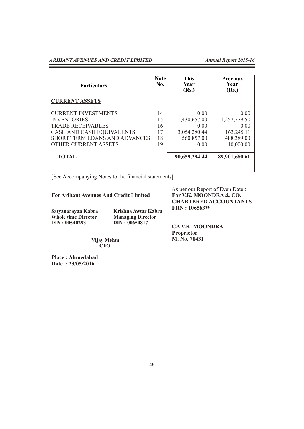| <b>Particulars</b>                                                                                                                                                               | <b>Note</b><br>No.               | <b>This</b><br>Year<br>(Rs.)                                       | <b>Previous</b><br>Year<br>(Rs.)                                      |
|----------------------------------------------------------------------------------------------------------------------------------------------------------------------------------|----------------------------------|--------------------------------------------------------------------|-----------------------------------------------------------------------|
| <b>CURRENT ASSETS</b>                                                                                                                                                            |                                  |                                                                    |                                                                       |
| <b>CURRENT INVESTMENTS</b><br><b>INVENTORIES</b><br><b>TRADE RECEIVABLES</b><br>CASH AND CASH EQUIVALENTS<br><b>SHORT TERM LOANS AND ADVANCES</b><br><b>OTHER CURRENT ASSETS</b> | 14<br>15<br>16<br>17<br>18<br>19 | 0.00<br>1,430,657.00<br>0.00<br>3,054,280.44<br>560,857.00<br>0.00 | 0.00<br>1,257,779.50<br>0.00<br>163,245.11<br>488,389.00<br>10,000.00 |
| <b>TOTAL</b>                                                                                                                                                                     |                                  | 90,659,294.44                                                      | 89,901,680.61                                                         |
|                                                                                                                                                                                  |                                  |                                                                    |                                                                       |

[See Accompanying Notes to the financial statements]

**For Arihant Avenues And Credit Limited** 

**DIN : 00540293 DIN : 00650817** 

 **Whole time Director Managing Director Satyanarayan Kabra** Krishna Awtar Kabra<br>
Whole time Director Managing Director As per our Report of Even Date :<br>For V.K. MOONDRA & CO.  **CHARTERED ACCOUNTANTS FRN : 106563W**

 **CA V.K. MOONDRA Proprietor M. No. 70431**

 **Vijay Mehta CFO**

**Place : Ahmedabad Date : 23/05/2016**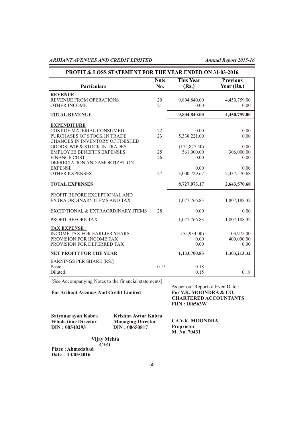| PROFIT & LOSS STATEMENT FOR THE YEAR ENDED ON 31-03-2016                                                                                           |                    |                                       |                                  |  |
|----------------------------------------------------------------------------------------------------------------------------------------------------|--------------------|---------------------------------------|----------------------------------|--|
| <b>Particulars</b>                                                                                                                                 | <b>Note</b><br>No. | <b>This Year</b><br>(Rs.)             | <b>Previous</b><br>Year (Rs.)    |  |
| <b>REVENUE</b><br>REVENUE FROM OPERATIONS<br><b>OTHER INCOME</b>                                                                                   | 20<br>21           | 9,804,840.00<br>0.00                  | 4,450,759.00<br>0.00             |  |
| <b>TOTAL REVENUE</b>                                                                                                                               |                    | 9,804,840.00                          | 4,450,759.00                     |  |
| <b>EXPENDITURE</b><br>COST OF MATERIAL CONSUMED<br>PURCHASES OF STOCK IN TRADE<br>CHANGES IN INVENTORY OF FINISHED<br>GOODS, WIP & STOCK IN TRADES | 22<br>23           | 0.00<br>5,338,221.00<br>(172, 877.50) | 0.00<br>0.00<br>0.00             |  |
| <b>EMPLOYEE BENEFITS EXPENSES</b><br><b>FINANCE COST</b><br>DEPRECIATION AND AMORTIZATION                                                          | 25<br>26           | 561,000.00<br>0.00                    | 306,000.00<br>0.00               |  |
| <b>EXPENSE</b><br><b>OTHER EXPENSES</b>                                                                                                            | 27                 | 0.00<br>3,000,729.67                  | 0.00<br>2,337,570.68             |  |
| <b>TOTAL EXPENSES</b>                                                                                                                              |                    | 8,727,073.17                          | 2,643,570.68                     |  |
| PROFIT BEFORE EXCEPTIONAL AND<br>EXTRA ORDINARY ITEMS AND TAX                                                                                      |                    | 1,077,766.83                          | 1,807,188.32                     |  |
| EXCEPTIONAL & EXTRAORDINARY ITEMS                                                                                                                  | 28                 | 0.00                                  | 0.00                             |  |
| PROFIT BEFORE TAX                                                                                                                                  |                    | 1,077,766.83                          | 1,807,188.32                     |  |
| <b>TAX EXPENSE:</b><br><b>INCOME TAX FOR EARLIER YEARS</b><br>PROVISION FOR INCOME TAX<br>PROVISION FOR DEFERRED TAX                               |                    | (55,934.00)<br>0.00<br>0.00           | 103,975.00<br>400,000.00<br>0.00 |  |
| <b>NET PROFIT FOR THE YEAR</b>                                                                                                                     |                    | 1,133,700.83                          | 1,303,213.32                     |  |
| <b>EARNINGS PER SHARE [RS.]</b><br><b>Basic</b><br>Diluted                                                                                         | 0.15               | 0.18<br>0.15                          | 0.18                             |  |

[See Accompanying Notes to the financial statements]

**For Arihant Avenues And Credit Limited** 

As per our Report of Even Date :<br>For V.K. MOONDRA & CO.  **CHARTERED ACCOUNTANTS FRN : 106563W**

**Satyanarayan Kabra Krishna Awtar Kabra Whole time Director Managing Director**<br>**DIN: 00540293 DIN: 00650817** 

 **Proprietor DIN : 00540293 DIN : 00650817**

 **CA V.K. MOONDRA M. No. 70431**

**Place : Ahmedabad Vijay Mehta** *CFO* 

**Date : 23/05/2016**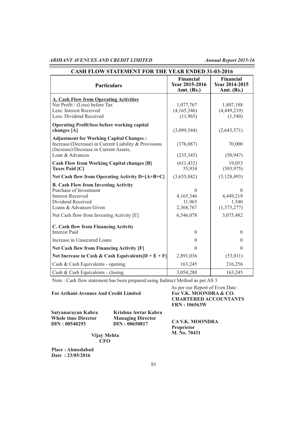| <b>CASH FLOW STATEMENT FOR THE YEAR ENDED 31-03-2016</b>                                                                                                             |                                                  |                                                  |  |
|----------------------------------------------------------------------------------------------------------------------------------------------------------------------|--------------------------------------------------|--------------------------------------------------|--|
| <b>Particulars</b>                                                                                                                                                   | <b>Financial</b><br>Year 2015-2016<br>Amt. (Rs.) | <b>Financial</b><br>Year 2014-2015<br>Amt. (Rs.) |  |
| <b>A. Cash Flow from Operating Activities</b>                                                                                                                        |                                                  |                                                  |  |
| Net Profit / (Loss) before Tax                                                                                                                                       | 1,077,767                                        | 1,807,188                                        |  |
| Less: Interest Received                                                                                                                                              | (4,165,346)                                      | (4,449,219)                                      |  |
| Less: Dividend Received                                                                                                                                              | (11,965)                                         | (1,540)                                          |  |
| <b>Operating Profit/loss before working capital</b>                                                                                                                  |                                                  |                                                  |  |
| changes [A]                                                                                                                                                          | (3,099,544)                                      | (2,643,571)                                      |  |
| <b>Adjustment for Working Capital Changes:</b><br>Increase/(Decrease) in Current Liability & Provisions<br>(Increase)/Decrease in Current Assets,<br>Loan & Advances | (376,087)<br>(235, 345)                          | 70,000<br>(50, 947)                              |  |
| <b>Cash Flow from Working Capital changes [B]</b>                                                                                                                    | (611, 432)                                       | 19,053                                           |  |
| <b>Taxes Paid [C]</b>                                                                                                                                                | 55,934                                           | (503, 975)                                       |  |
| Net Cash flow from Operating Activity $D=[A+B+C]$                                                                                                                    | (3,655,042)                                      | (3, 128, 493)                                    |  |
| <b>B. Cash Flow from Investing Activity</b><br>Purchase of Investment<br><b>Interest Received</b><br>Dividend Received<br>Loans & Advances Given                     | $\Omega$<br>4,165,346<br>11,965<br>2,368,767     | $\theta$<br>4,449,219<br>1,540<br>(1,375,277)    |  |
| Net Cash flow from Investing Activity [E]                                                                                                                            | 6,546,078                                        | 3,075,482                                        |  |
| C. Cash flow from Financing Activity<br><b>Interest Paid</b>                                                                                                         | $\theta$                                         | $\theta$                                         |  |
| Increase in Unsecured Loans                                                                                                                                          | $\theta$                                         | $\theta$                                         |  |
| <b>Net Cash flow from Financing Activity [F]</b>                                                                                                                     | $\Omega$                                         | $\theta$                                         |  |
| Net Increase in Cash & Cash Equivalents $[D + E + F]$                                                                                                                | 2,891,036                                        | (53, 011)                                        |  |
| Cash & Cash Equivalents - opening                                                                                                                                    | 163,245                                          | 216,256                                          |  |
| Cash & Cash Equivalents - closing                                                                                                                                    | 3,054,280                                        | 163,245                                          |  |

Note : Cash flow statement has been prepared using Indirect Method as per AS 3

#### **For Arihant Avenues And Credit Limited**

As per our Report of Even Date :<br>For V.K. MOONDRA & CO.  **CHARTERED ACCOUNTANTS FRN : 106563W**

| Satyanarayan Kabra         |
|----------------------------|
| <b>Whole time Director</b> |
| <b>DIN: 00540293</b>       |

**Satyanarayan Kabra Krishna Awtar Kabra Managing Director DIN : 00650817** 

 **CA V.K. MOONDRA Proprietor M. No. 70431**

 **Vijay Mehta CFO**

**Place : Ahmedabad Date : 23/05/2016**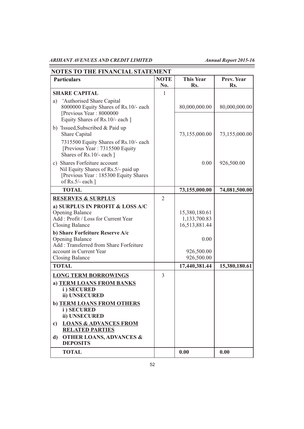Ξ

| <b>Particulars</b>                                                                                                                     | <b>NOTE</b><br>No. | <b>This Year</b><br>Rs.                        | Prev. Year<br>Rs. |
|----------------------------------------------------------------------------------------------------------------------------------------|--------------------|------------------------------------------------|-------------------|
| <b>SHARE CAPITAL</b>                                                                                                                   | 1                  |                                                |                   |
| 'Authorised Share Capital<br>a)<br>8000000 Equity Shares of Rs.10/- each<br>[Previous Year: 8000000<br>Equity Shares of Rs.10/- each ] |                    | 80,000,000.00                                  | 80,000,000.00     |
| b) 'Issued, Subscribed & Paid up<br>Share Capital                                                                                      |                    | 73,155,000.00                                  | 73,155,000.00     |
| 7315500 Equity Shares of Rs.10/- each<br>[Previous Year: 7315500 Equity<br>Shares of Rs.10/- each ]                                    |                    |                                                |                   |
| c) Shares Forfeiture account<br>Nil Equity Shares of Rs.5/- paid up<br>[Previous Year: 185300 Equity Shares]<br>of Rs.5/- each $\vert$ |                    | 0.00                                           | 926,500.00        |
| <b>TOTAL</b>                                                                                                                           |                    | 73,155,000.00                                  | 74,081,500.00     |
| <b>RESERVES &amp; SURPLUS</b>                                                                                                          | 2                  |                                                |                   |
| a) SURPLUS IN PROFIT & LOSS A/C<br><b>Opening Balance</b><br>Add: Profit / Loss for Current Year<br><b>Closing Balance</b>             |                    | 15,380,180.61<br>1,133,700.83<br>16,513,881.44 |                   |
| b) Share Forfeiture Reserve A/c<br><b>Opening Balance</b><br>Add: Transferred from Share Forfeiture                                    |                    | 0.00                                           |                   |
| account in Current Year<br><b>Closing Balance</b>                                                                                      |                    | 926,500.00<br>926,500.00                       |                   |
| <b>TOTAL</b>                                                                                                                           |                    | 17,440,381.44                                  | 15,380,180.61     |
|                                                                                                                                        | $\overline{3}$     |                                                |                   |
| <b>LONG TERM BORROWINGS</b><br>a) TERM LOANS FROM BANKS<br>i) SECURED<br>ii) UNSECURED                                                 |                    |                                                |                   |
| b) TERM LOANS FROM OTHERS<br>i) SECURED<br>ii) UNSECURED                                                                               |                    |                                                |                   |
| <b>LOANS &amp; ADVANCES FROM</b><br>c)<br><b>RELATED PARTIES</b>                                                                       |                    |                                                |                   |
| <b>OTHER LOANS, ADVANCES &amp;</b><br>d)<br><b>DEPOSITS</b>                                                                            |                    |                                                |                   |
|                                                                                                                                        |                    |                                                |                   |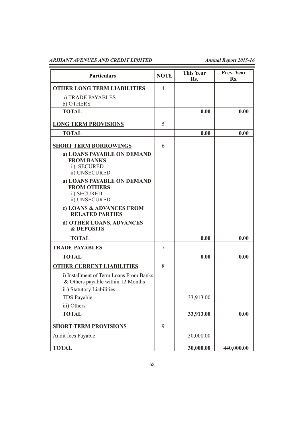| <b>Particulars</b>                                                                                         | <b>NOTE</b> | <b>This Year</b><br>Rs. | Prev. Year<br>Rs. |
|------------------------------------------------------------------------------------------------------------|-------------|-------------------------|-------------------|
| <b>OTHER LONG TERM LIABILITIES</b>                                                                         | 4           |                         |                   |
| a) TRADE PAYABLES<br>b) OTHERS                                                                             |             |                         |                   |
| <b>TOTAL</b>                                                                                               |             | 0.00                    | 0.00              |
| <b>LONG TERM PROVISIONS</b>                                                                                | 5           |                         |                   |
| <b>TOTAL</b>                                                                                               |             | 0.00                    | 0.00              |
| <b>SHORT TERM BORROWINGS</b>                                                                               | 6           |                         |                   |
| a) LOANS PAYABLE ON DEMAND<br><b>FROM BANKS</b><br>i) SECURED<br>ii) UNSECURED                             |             |                         |                   |
| a) LOANS PAYABLE ON DEMAND<br><b>FROM OTHERS</b><br>i) SECURED<br>ii) UNSECURED                            |             |                         |                   |
| c) LOANS & ADVANCES FROM<br><b>RELATED PARTIES</b>                                                         |             |                         |                   |
| d) OTHER LOANS, ADVANCES<br><b>&amp; DEPOSITS</b>                                                          |             |                         |                   |
| <b>TOTAL</b>                                                                                               |             | 0.00                    | 0.00              |
| <b>TRADE PAYABLES</b>                                                                                      | 7           |                         |                   |
| <b>TOTAL</b>                                                                                               |             | 0.00                    | 0.00              |
| <b>OTHER CURRENT LIABILITIES</b>                                                                           | 8           |                         |                   |
| i) Installment of Term Loans From Banks<br>& Others payable within 12 Months<br>ii.) Statutory Liabilities |             |                         |                   |
| TDS Payable                                                                                                |             | 33,913.00               |                   |
| iii) Others                                                                                                |             |                         |                   |
| <b>TOTAL</b>                                                                                               |             | 33,913.00               | 0.00              |
| <b>SHORT TERM PROVISIONS</b>                                                                               | 9           |                         |                   |
| Audit fees Payable                                                                                         |             | 30,000.00               |                   |
| <b>TOTAL</b>                                                                                               |             | 30,000.00               | 440,000.00        |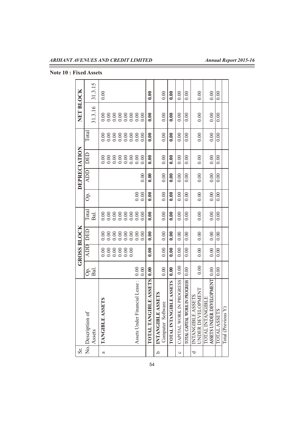**Note 10 : Fixed Assets**

| Sr.     |                                               |        |            | <b>GROSS BLOCK</b> |         |      | DEPRECIATION |            |          | NET BLOCK |         |
|---------|-----------------------------------------------|--------|------------|--------------------|---------|------|--------------|------------|----------|-----------|---------|
|         | No. Description of                            | .<br>O | <b>ADD</b> | DED                | Total   | Ġ.   | <b>ADD</b>   | DED        | Total    |           |         |
|         | Assets                                        | Bal    |            |                    | Bal.    |      |              |            |          | 31.3.16   | 31.3.15 |
| a       | TANGIBLE ASSETS                               |        |            |                    |         |      |              |            | 0.00     | 0.00      | 0.00    |
|         |                                               |        |            | 88888888886        | 8888888 |      |              | 8888888880 |          | 88888888  |         |
|         |                                               |        |            |                    |         |      |              |            |          |           |         |
|         |                                               |        |            |                    |         |      |              |            | 88888880 |           |         |
|         |                                               |        |            |                    |         |      |              |            |          |           |         |
|         |                                               |        |            |                    |         |      |              |            |          |           |         |
|         | Assets Under Financial Lease:                 | 0.00   |            |                    |         | 0.00 |              |            |          |           |         |
|         |                                               | 0.00   |            |                    | 0.00    | 0.00 | 0.00         |            | 0.00     |           |         |
|         | TOTAL TANGIBLE ASSETS                         | 0.00   | 0.00       | 0.00               | 0.00    | 0.00 | 0.00         | 0.00       | 0.00     | 0.00      | 0.00    |
| a,      | SSETS<br>INTANGIBLE A                         |        |            |                    |         |      |              |            |          |           |         |
|         | Computer Software                             | 0.00   | 0.00       | 0.00               | 0.00    | 0.00 | 0.00         | 0.00       | 0.00     | 0.00      | 0.00    |
|         | TOTAL INTANGIBLE ASSETS                       | 0.00   | 0.00       | 0.00               | 0.00    | 0.00 | 0.00         | 0.00       | 0.00     | 0.00      | 0.00    |
| $\circ$ | CAPITAL WORK IN PROGRESS                      | 0.00   | 0.00       | 0.00               | 0.00    | 0.00 | 0.00         | 0.00       | 0.00     | 0.00      | 0.00    |
|         | TOTAL CAPITAL WORK IN PROGRESS                | 0.00   | 0.00       | 0.00               | 0.00    | 0.00 | 0.00         | 0.00       | 0.00     | 0.00      | 0.00    |
| ರ       | <b>INTANGIBLE ASSETS</b><br>UNDER DEVELOPMENT |        |            |                    |         |      |              |            |          |           |         |
|         |                                               | 0.00   | 0.00       | 0.00               | 0.00    | 0.00 | 0.00         | 0.00       | 0.00     | 0.00      | 0.00    |
|         | TOTAL INTANGIBLE                              |        |            |                    |         |      |              |            |          |           |         |
|         | ASSETS UNDER DEVELOPMENT                      | 0.00   | 0.00       | 0.00               | 0.00    | 0.00 | 0.00         | 0.00       | 0.00     | 0.00      | 0.00    |
|         | <b>TOTAL ASSETS</b>                           | 0.00   | 0.00       | 0.00               | 0.00    | 0.00 | 0.00         | 0.00       | 0.00     | 0.00      | 0.00    |
|         | Total (Previous Y)                            |        |            |                    |         |      |              |            |          |           |         |

54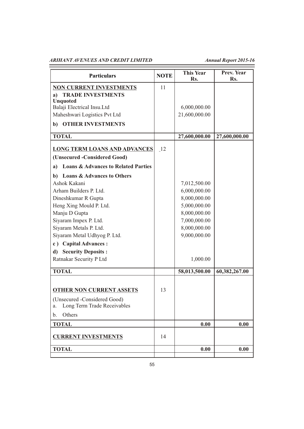| <b>Particulars</b>                                    | <b>NOTE</b> | <b>This Year</b><br>Rs. | Prev. Year<br>Rs. |
|-------------------------------------------------------|-------------|-------------------------|-------------------|
| <b>NON CURRENT INVESTMENTS</b>                        | 11          |                         |                   |
| <b>TRADE INVESTMENTS</b><br>a)                        |             |                         |                   |
| <b>Unquoted</b>                                       |             |                         |                   |
| Balaji Electrical Insu.Ltd                            |             | 6,000,000.00            |                   |
| Maheshwari Logistics Pvt Ltd                          |             | 21,600,000.00           |                   |
| <b>OTHER INVESTMENTS</b><br>$\mathbf{b}$              |             |                         |                   |
| <b>TOTAL</b>                                          |             | 27,600,000.00           | 27,600,000.00     |
| <b>LONG TERM LOANS AND ADVANCES</b>                   | -12         |                         |                   |
| (Unsecured -Considered Good)                          |             |                         |                   |
| <b>Loans &amp; Advances to Related Parties</b><br>a)  |             |                         |                   |
| <b>Loans &amp; Advances to Others</b><br>$\mathbf{b}$ |             |                         |                   |
| Ashok Kakani                                          |             | 7,012,500.00            |                   |
| Arham Builders P. Ltd.                                |             | 6,000,000.00            |                   |
| Dineshkumar R Gupta                                   |             | 8,000,000.00            |                   |
| Heng Xing Mould P. Ltd.                               |             | 5,000,000.00            |                   |
| Manju D Gupta                                         |             | 8,000,000.00            |                   |
| Siyaram Impex P. Ltd.                                 |             | 7,000,000.00            |                   |
| Siyaram Metals P. Ltd.                                |             | 8,000,000.00            |                   |
| Siyaram Metal Udhyog P. Ltd.                          |             | 9,000,000.00            |                   |
| c) Capital Advances :                                 |             |                         |                   |
| <b>Security Deposits:</b><br>d)                       |             |                         |                   |
| Ratnakar Security P Ltd                               |             | 1,000.00                |                   |
| <b>TOTAL</b>                                          |             | 58,013,500.00           | 60,382,267.00     |
|                                                       |             |                         |                   |
| <b>OTHER NON CURRENT ASSETS</b>                       | 13          |                         |                   |
| (Unsecured -Considered Good)                          |             |                         |                   |
| Long Term Trade Receivables<br>a.                     |             |                         |                   |
| Others<br>b.                                          |             |                         |                   |
| <b>TOTAL</b>                                          |             | 0.00                    | 0.00              |
| <b>CURRENT INVESTMENTS</b>                            | 14          |                         |                   |
| <b>TOTAL</b>                                          |             | 0.00                    | 0.00              |
|                                                       |             |                         |                   |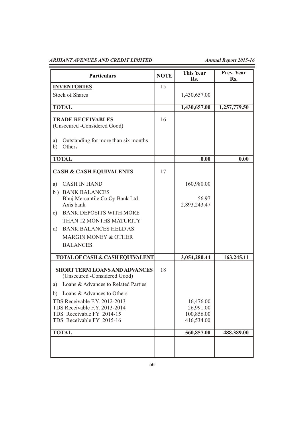| <b>Particulars</b>                                                                                                       | <b>NOTE</b> | <b>This Year</b><br>Rs.                            | Prev. Year<br>Rs. |
|--------------------------------------------------------------------------------------------------------------------------|-------------|----------------------------------------------------|-------------------|
| <b>INVENTORIES</b>                                                                                                       | 15          |                                                    |                   |
| <b>Stock of Shares</b>                                                                                                   |             | 1,430,657.00                                       |                   |
| <b>TOTAL</b>                                                                                                             |             | 1,430,657.00                                       | 1,257,779.50      |
| <b>TRADE RECEIVABLES</b><br>(Unsecured -Considered Good)                                                                 | 16          |                                                    |                   |
| Outstanding for more than six months<br>a)<br>Others<br>b)                                                               |             |                                                    |                   |
| <b>TOTAL</b>                                                                                                             |             | 0.00                                               | 0.00              |
| <b>CASH &amp; CASH EQUIVALENTS</b>                                                                                       | 17          |                                                    |                   |
| <b>CASH IN HAND</b><br>a)                                                                                                |             | 160,980.00                                         |                   |
| b) BANK BALANCES<br>Bhuj Mercantile Co Op Bank Ltd<br>Axis bank                                                          |             | 56.97<br>2,893,243.47                              |                   |
| <b>BANK DEPOSITS WITH MORE</b><br>c)                                                                                     |             |                                                    |                   |
| THAN 12 MONTHS MATURITY                                                                                                  |             |                                                    |                   |
| <b>BANK BALANCES HELD AS</b><br>$\rm d$                                                                                  |             |                                                    |                   |
| MARGIN MONEY & OTHER                                                                                                     |             |                                                    |                   |
| <b>BALANCES</b>                                                                                                          |             |                                                    |                   |
| <b>TOTAL OF CASH &amp; CASH EQUIVALENT</b>                                                                               |             | 3,054,280.44                                       | 163,245.11        |
| <b>SHORT TERM LOANS AND ADVANCES</b><br>(Unsecured -Considered Good)                                                     | 18          |                                                    |                   |
| Loans & Advances to Related Parties<br>a)                                                                                |             |                                                    |                   |
| Loans & Advances to Others<br>b)                                                                                         |             |                                                    |                   |
| TDS Receivable F.Y. 2012-2013<br>TDS Receivable F.Y. 2013-2014<br>TDS Receivable FY 2014-15<br>TDS Receivable FY 2015-16 |             | 16,476.00<br>26,991.00<br>100,856.00<br>416,534.00 |                   |
| <b>TOTAL</b>                                                                                                             |             | 560,857.00                                         | 488,389.00        |
|                                                                                                                          |             |                                                    |                   |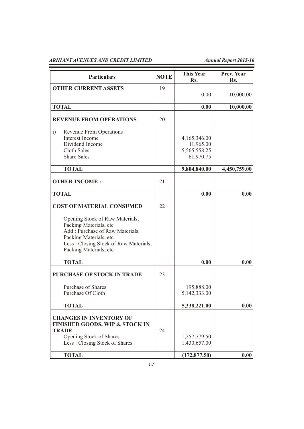| <b>Particulars</b>                                                                                                                                                                        | <b>NOTE</b> | <b>This Year</b><br>Rs.                                | Prev. Year<br>Rs. |
|-------------------------------------------------------------------------------------------------------------------------------------------------------------------------------------------|-------------|--------------------------------------------------------|-------------------|
| <b>OTHER CURRENT ASSETS</b>                                                                                                                                                               | 19          | 0.00                                                   | 10,000.00         |
| <b>TOTAL</b>                                                                                                                                                                              |             | 0.00                                                   | 10,000.00         |
| <b>REVENUE FROM OPERATIONS</b>                                                                                                                                                            | 20          |                                                        |                   |
| i)<br>Revenue From Operations :<br>Interest Income<br>Dividend Income<br>Cloth Sales<br><b>Share Sales</b>                                                                                |             | 4,165,346.00<br>11,965.00<br>5,565,558.25<br>61,970.75 |                   |
| <b>TOTAL</b>                                                                                                                                                                              |             | 9,804,840.00                                           | 4,450,759.00      |
| <b>OTHER INCOME:</b>                                                                                                                                                                      | 21          |                                                        |                   |
| <b>TOTAL</b>                                                                                                                                                                              |             | 0.00                                                   | 0.00              |
| <b>COST OF MATERIAL CONSUMED</b>                                                                                                                                                          | 22          |                                                        |                   |
| Opening Stock of Raw Materials,<br>Packing Materials, etc<br>Add: Purchase of Raw Materials,<br>Packing Materials, etc<br>Less: Closing Stock of Raw Materials,<br>Packing Materials, etc |             |                                                        |                   |
| <b>TOTAL</b>                                                                                                                                                                              |             | 0.00                                                   | 0.00              |
| <b>PURCHASE OF STOCK IN TRADE</b>                                                                                                                                                         | 23          |                                                        |                   |
| <b>Purchase of Shares</b><br>Purchase Of Cloth                                                                                                                                            |             | 195,888.00<br>5,142,333.00                             |                   |
| <b>TOTAL</b>                                                                                                                                                                              |             | 5,338,221.00                                           | 0.00              |
| <b>CHANGES IN INVENTORY OF</b><br><b>FINISHED GOODS, WIP &amp; STOCK IN</b><br><b>TRADE</b><br>Opening Stock of Shares<br>Less: Closing Stock of Shares                                   | 24          | 1,257,779.50<br>1,430,657.00                           |                   |
| <b>TOTAL</b>                                                                                                                                                                              |             | (172, 877.50)                                          | 0.00              |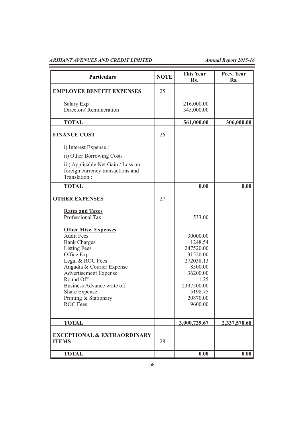| <b>Particulars</b>                                                                                                                                                                                                                                                                                    | <b>NOTE</b> | This Year<br>Rs.                                                                                                                         | Prev. Year<br>Rs. |
|-------------------------------------------------------------------------------------------------------------------------------------------------------------------------------------------------------------------------------------------------------------------------------------------------------|-------------|------------------------------------------------------------------------------------------------------------------------------------------|-------------------|
| <b>EMPLOYEE BENEFIT EXPENSES</b>                                                                                                                                                                                                                                                                      | 25          |                                                                                                                                          |                   |
| Salary Exp<br><b>Directors' Remuneration</b>                                                                                                                                                                                                                                                          |             | 216,000.00<br>345,000.00                                                                                                                 |                   |
| <b>TOTAL</b>                                                                                                                                                                                                                                                                                          |             | 561,000.00                                                                                                                               | 306,000.00        |
| <b>FINANCE COST</b>                                                                                                                                                                                                                                                                                   | 26          |                                                                                                                                          |                   |
| i) Interest Expense :                                                                                                                                                                                                                                                                                 |             |                                                                                                                                          |                   |
| ii) Other Borrowing Costs:                                                                                                                                                                                                                                                                            |             |                                                                                                                                          |                   |
| iii) Applicable Net Gain / Loss on<br>foreign currency transactions and<br>Translation:                                                                                                                                                                                                               |             |                                                                                                                                          |                   |
| <b>TOTAL</b>                                                                                                                                                                                                                                                                                          |             | 0.00                                                                                                                                     | 0.00              |
| <b>OTHER EXPENSES</b>                                                                                                                                                                                                                                                                                 | 27          |                                                                                                                                          |                   |
| <b>Rates and Taxes</b><br>Professional Tax                                                                                                                                                                                                                                                            |             | 533.00                                                                                                                                   |                   |
| <b>Other Misc. Expenses</b><br><b>Audit Fees</b><br><b>Bank Charges</b><br><b>Listing Fees</b><br>Office Exp<br>Legal & ROC Fees<br>Angadia & Courier Expense<br><b>Advertisement Expense</b><br>Round Off<br>Business Advance write off<br>Share Expense<br>Printing & Stationary<br><b>ROC</b> Fees |             | 30000.00<br>1248.54<br>247520.00<br>31520.00<br>272038.13<br>8500.00<br>36200.00<br>1.25<br>2337500.00<br>5198.75<br>20870.00<br>9600.00 |                   |
| <b>TOTAL</b>                                                                                                                                                                                                                                                                                          |             | 3,000,729.67                                                                                                                             | 2,337,570.68      |
| <b>EXCEPTIONAL &amp; EXTRAORDINARY</b><br><b>ITEMS</b>                                                                                                                                                                                                                                                | 28          |                                                                                                                                          |                   |
| <b>TOTAL</b>                                                                                                                                                                                                                                                                                          |             | 0.00                                                                                                                                     | 0.00              |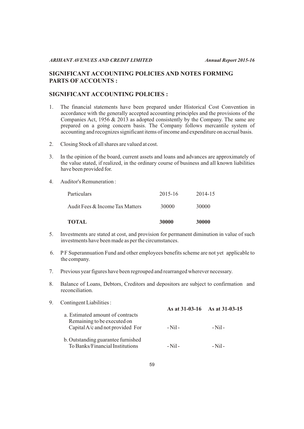# **SIGNIFICANT ACCOUNTING POLICIES AND NOTES FORMING PARTS OF ACCOUNTS :**

# **SIGNIFICANT ACCOUNTING POLICIES :**

- 1. The financial statements have been prepared under Historical Cost Convention in accordance with the generally accepted accounting principles and the provisions of the Companies Act, 1956 & 2013 as adopted consistently by the Company. The same are prepared on a going concern basis. The Company follows mercantile system of accounting and recognizes significant items of income and expenditure on accrual basis.
- 2. Closing Stock of all shares are valued at cost.
- 3. In the opinion of the board, current assets and loans and advances are approximately of the value stated, if realized, in the ordinary course of business and all known liabilities have been provided for.
- 4. Auditor's Remuneration :

| <b>TOTAL</b>                    | 30000   | 30000   |
|---------------------------------|---------|---------|
| Audit Fees & Income Tax Matters | 30000   | 30000   |
| Particulars                     | 2015-16 | 2014-15 |

- 5. Investments are stated at cost, and provision for permanent diminution in value of such investments have been made as per the circumstances.
- 6. P F Superannuation Fund and other employees benefits scheme are not yet applicable to the company.
- 7. Previous year figures have been regrouped and rearranged wherever necessary.
- 8. Balance of Loans, Debtors, Creditors and depositors are subject to confirmation and reconciliation.

| 9. | Contingent Liabilities:                                               |                               |         |
|----|-----------------------------------------------------------------------|-------------------------------|---------|
|    | a. Estimated amount of contracts                                      | As at 31-03-16 As at 31-03-15 |         |
|    | Remaining to be executed on<br>Capital A/c and not provided For       | $-Ni1-$                       | $-Ni1$  |
|    | b. Outstanding guarantee furnished<br>To Banks/Financial Institutions | - Nil -                       | - Nil - |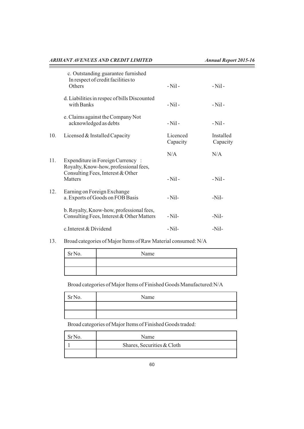and the control of the control of

|     | c. Outstanding guarantee furnished<br>In respect of credit facilities to<br>Others    | $-Ni1-$              | $-Ni1-$               |
|-----|---------------------------------------------------------------------------------------|----------------------|-----------------------|
|     | d. Liabilities in respec of bills Discounted<br>with Banks                            | $-Ni1-$              | $-Nil-$               |
|     | e. Claims against the Company Not<br>acknowledged as debts                            | $-Ni1-$              | $-Ni1-$               |
| 10. | Licensed & Installed Capacity                                                         | Licenced<br>Capacity | Installed<br>Capacity |
| 11. | Expenditure in Foreign Currency:<br>Royalty, Know-how, professional fees,             | N/A                  | N/A                   |
|     | Consulting Fees, Interest & Other<br><b>Matters</b>                                   | $-Ni1-$              | $-Ni1-$               |
| 12. | Earning on Foreign Exchange<br>a. Exports of Goods on FOB Basis                       | $-Nil-$              | $-Nil-$               |
|     | b. Royalty, Know-how, professional fees,<br>Consulting Fees, Interest & Other Matters | $-Nil-$              | $-Nil-$               |

13. Broad categories of Major Items of Raw Material consumed: N/A

| SrNo. | Name |
|-------|------|
|       |      |
|       |      |

Broad categories of Major Items of Finished Goods Manufactured:N/A

| Sr <sub>No.</sub> | Name |
|-------------------|------|
|                   |      |
|                   |      |

Broad categories of Major Items of Finished Goods traded:

| Name                       |
|----------------------------|
| Shares, Securities & Cloth |
|                            |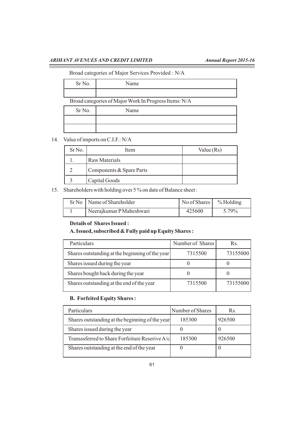### Broad categories of Major Services Provided : N/A

| Jame |
|------|
|      |

Broad categories of Major Work In Progress Items: N/A

| Sr No. | Name |
|--------|------|
|        |      |
|        |      |

# 14. Value of imports on C.I.F.: N/A

Sr No.

| Sr <sub>No.</sub> | Item                     | Value $(Rs)$ |
|-------------------|--------------------------|--------------|
|                   | <b>Raw Materials</b>     |              |
|                   | Components & Spare Parts |              |
|                   | Capital Goods            |              |

# 15. Shareholders with holding over 5 % on date of Balance sheet :

| Sr No   Name of Shareholder | No of Shares $\sim$ 46 Holding |       |
|-----------------------------|--------------------------------|-------|
| Neerajkumar PMaheshwari     | 425600                         | 5.79% |

# **Details of Shares Issued :**

# **A. Issued, subscribed & Fully paid up Equity Shares :**

| Particulars                                     | Number of Shares | Rs.      |
|-------------------------------------------------|------------------|----------|
| Shares outstanding at the beginning of the year | 7315500          | 73155000 |
| Shares issued during the year                   |                  |          |
| Shares bought back during the year              |                  |          |
| Shares outstanding at the end of the year       | 7315500          | 73155000 |

# **B. Forfeited Equity Shares :**

| Particulars                                     | Number of Shares | Rs.    |
|-------------------------------------------------|------------------|--------|
| Shares outstanding at the beginning of the year | 185300           | 926500 |
| Shares issued during the year                   |                  | U      |
| Transssferred to Share Forfeiture Reserive A/cl | 185300           | 926500 |
| Shares outstanding at the end of the year       |                  | U      |
|                                                 |                  |        |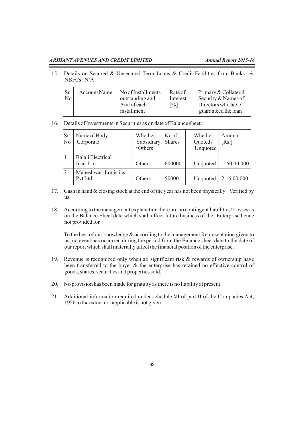15. Details on Secured & Unsecured Term Loans & Credit Facilities from Banks & NBFCs : N/A

16. Details of Investments in Securities as on date of Balance sheet:

| Sr<br>No | Name of Body<br>Corporate       | Whether<br>Subsidiary<br>Others | No of<br><b>Shares</b> | Whether<br>Quoted/<br>Unquoted | Amount<br>[Rs.] |
|----------|---------------------------------|---------------------------------|------------------------|--------------------------------|-----------------|
|          | Balaji Electrical<br>Insu. Ltd. | Others                          | 600000                 | Unquoted                       | 60,00,000       |
| 2        | Maheshwari Logistics<br>Pvt Ltd | Others                          | 50000                  | Unquoted                       | 2,16,00,000     |

- 17. Cash in hand & closing stock at the end of the year has not been physically Verified by us.
- 18. According to the management explanation there are no contingent liabilities/ Losses as on the Balance-Sheet date which shall affect future business of the Enterprise hence not provided for.

To the best of our knowledge  $&$  according to the management Representation given to us, no event has occurred during the period from the Balance sheet date to the date of our report which shall materially affect the financial position of the enterprise.

- 19. Revenue is recognized only when all significant risk & rewards of ownership have been transferred to the buyer & the enterprise has retained no effective control of goods, shares, securities and properties sold.
- 20. No provision has been made for gratuity as there is no liability at present.
- 21. Additional information required under schedule VI of part II of the Companies Act, 1956 to the extent not applicable is not given.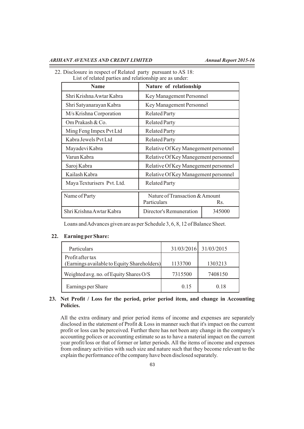| 22. Disclosure in respect of Related party pursuant to AS 18: |  |
|---------------------------------------------------------------|--|
|---------------------------------------------------------------|--|

List of related parties and relationship are as under:

| <b>Name</b>                | Nature of relationship               |  |  |
|----------------------------|--------------------------------------|--|--|
| Shri Krishna Awtar Kabra   | Key Management Personnel             |  |  |
| Shri Satyanarayan Kabra    | Key Management Personnel             |  |  |
| M/s Krishna Corporation    | <b>Related Party</b>                 |  |  |
| Om Prakash & Co.           | <b>Related Party</b>                 |  |  |
| Ming Feng Impex Pvt Ltd    | <b>Related Party</b>                 |  |  |
| Kabra Jewels Pyt Ltd       | <b>Related Party</b>                 |  |  |
| Mayadevi Kabra             | Relative Of Key Manegement personnel |  |  |
| Varun Kabra                | Relative Of Key Manegement personnel |  |  |
| Saroj Kabra                | Relative Of Key Manegement personnel |  |  |
| Kailash Kabra              | Relative Of Key Management personnel |  |  |
| Maya Texturisers Pvt. Ltd. | <b>Related Party</b>                 |  |  |
| Name of Party              | Nature of Transaction & Amount       |  |  |
|                            | Particulars<br>R <sub>S</sub> .      |  |  |
| Shri Krishna Awtar Kabra   | Director's Remuneration<br>345000    |  |  |

Loans and Advances given are as per Schedule 3, 6, 8, 12 of Balance Sheet.

#### **22. Earning perShare:**

| Particulars                                                     |         | 31/03/2016 31/03/2015 |
|-----------------------------------------------------------------|---------|-----------------------|
| Profit after tax<br>(Earnings available to Equity Shareholders) | 1133700 | 1303213               |
| Weighted avg. no. of Equity Shares O/S                          | 7315500 | 7408150               |
| Earnings per Share                                              | 0.15    | 0.18                  |

# **23. Net Profit / Loss for the period, prior period item, and change in Accounting Policies.**

 All the extra ordinary and prior period items of income and expenses are separately disclosed in the statement of Profit & Loss in manner such that it's impact on the current profit or loss can be perceived. Further there has not been any change in the company's accounting polices or accounting estimate so as to have a material impact on the current year profit/loss or that of former or latter periods. All the items of income and expenses from ordinary activities with such size and nature such that they become relevant to the explain the performance of the company have been disclosed separately.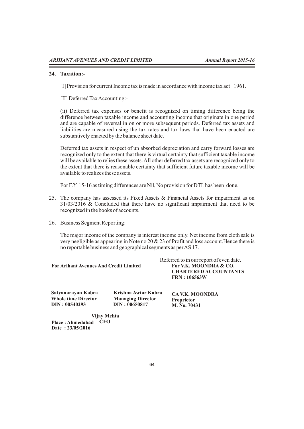#### **24. Taxation:-**

[I] Provision for current Income tax is made in accordance with income tax act 1961.

[II] Deferred Tax Accounting:-

(ii) Deferred tax expenses or benefit is recognized on timing difference being the difference between taxable income and accounting income that originate in one period and are capable of reversal in on or more subsequent periods. Deferred tax assets and liabilities are measured using the tax rates and tax laws that have been enacted are substantively enacted by the balance sheet date.

Deferred tax assets in respect of un absorbed depreciation and carry forward losses are recognized only to the extent that there is virtual certainty that sufficient taxable income will be available to relies these assets. All other deferred tax assets are recognized only to the extent that there is reasonable certainty that sufficient future taxable income will be available to realizes these assets.

For F.Y. 15-16 as timing differences are Nil, No provision for DTLhas been done.

- 25. The company has assessed its Fixed Assets & Financial Assets for impairment as on 31/03/2016 & Concluded that there have no significant impairment that need to be recognized in the books of accounts.
- 26. Business Segment Reporting:

 The major income of the company is interest income only. Net income from cloth sale is very negligible as appearing in Note no 20 & 23 of Profit and loss account.Hence there is no reportable business and geographical segments as per AS 17.

|                                        | Referred to in our report of even date.                               |  |  |
|----------------------------------------|-----------------------------------------------------------------------|--|--|
| For Arihant Avenues And Credit Limited | For V.K. MOONDRA & CO.<br><b>CHARTERED ACCOUNTANTS</b><br>FRN:106563W |  |  |
|                                        |                                                                       |  |  |

| Satyanarayan Kabra         | Krishna Awtar Kabra      | <b>CA V.K. MOONDRA</b> |
|----------------------------|--------------------------|------------------------|
| <b>Whole time Director</b> | <b>Managing Director</b> | <b>Proprietor</b>      |
| DIN: 00540293              | DIN: 00650817            | M. No. 70431           |

**Place : Ahmedabad CFODate : 23/05/2016 Vijay Mehta**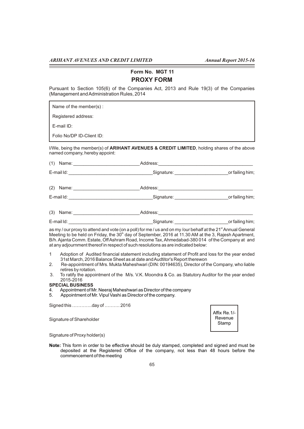**Form No. MGT 11**

### **PROXY FORM**

Pursuant to Section 105(6) of the Companies Act, 2013 and Rule 19(3) of the Companies (Management and Administration Rules, 2014

Name of the member(s) :

Registered address:

E-mail ID:

Folio No/DP ID-Client ID:

I/We, being the member(s) of **ARIHANT AVENUES & CREDIT LIMITED**, holding shares of the above named company, hereby appoint:

| $(1)$ Name: | Address:   |                 |  |  |
|-------------|------------|-----------------|--|--|
| E-mail Id:  | Signature: | or failing him; |  |  |
| $(2)$ Name: | Address:   |                 |  |  |
| E-mail Id:  | Signature: | or failing him; |  |  |

| (3) | Name: | aaress. |      |  |
|-----|-------|---------|------|--|
|     | .     | $ -$    | $ -$ |  |

E-mail ld: \_\_\_\_\_\_\_\_\_\_\_\_\_\_\_\_\_\_\_\_\_\_\_\_\_\_\_\_\_\_\_\_\_Signature: \_\_\_\_\_\_\_\_\_\_\_\_\_\_\_\_\_\_\_\_\_or failing him;

as my / our proxy to attend and vote (on a poll) for me / us and on my /our behalf at the 21<sup>st</sup> Annual General Meeting to be held on Friday, the  $30<sup>th</sup>$  day of September, 2016 at 11.30 AM at the 3, Rajesh Apartment, B/h. Ajanta Comm. Estate, Off Ashram Road, Income Tax, Ahmedabad-380 014 of the Company at and at any adjournment thereof in respect of such resolutions as are indicated below:

- 1 Adoption of Audited financial statement including statement of Profit and loss for the year ended 31st March, 2016 Balance Sheet as at date and Audtitor's Report therewon
- 2. Re-appointment of Mrs. Mukta Maheshwari (DIN: 00194635), Director of the Company, who liable retires by rotation.
- 3. To ratify the appointment of the M/s. V.K. Moondra & Co. as Statutory Auditor for the year ended 2015-2016

#### **SPECIAL BUSINESS**

- 4. Appointment of Mr. Neeraj Maheshwari as Director of the company
- 5. Appointment of Mr. Vipul Vashi as Director of the company.

Signed this ………….day of ………. 2016

Signature of Shareholder



Signature of Proxy holder(s)

**Note:** This form in order to be effective should be duly stamped, completed and signed and must be deposited at the Registered Office of the company, not less than 48 hours before the commencement of the meeting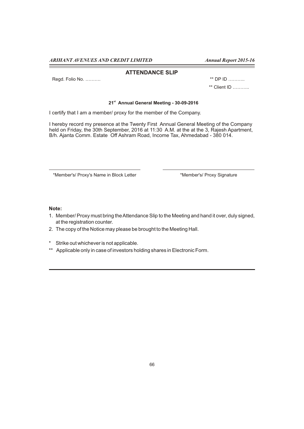#### **ATTENDANCE SLIP**

Regd. Folio No. ………. \*\* DP ID ………..

\*\* Client ID ………..

#### **st 21 Annual General Meeting - 30-09-2016**

I certify that I am a member/ proxy for the member of the Company.

I hereby record my presence at the Twenty First Annual General Meeting of the Company held on Friday, the 30th September, 2016 at 11:30 A.M. at the at the 3, Rajesh Apartment, B/h. Ajanta Comm. Estate Off Ashram Road, Income Tax, Ahmedabad - 380 014.

\*Member's/ Proxy's Name in Block Letter \*Member's/ Proxy Signature

#### **Note:**

- 1. Member/ Proxy must bring the Attendance Slip to the Meeting and hand it over, duly signed, at the registration counter.
- 2. The copy of the Notice may please be brought to the Meeting Hall.
- \* Strike out whichever is not applicable.
- \*\* Applicable only in case of investors holding shares in Electronic Form.